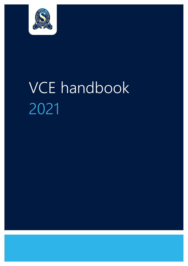

# VCE handbook 2021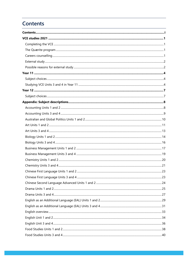# <span id="page-1-0"></span>**Contents**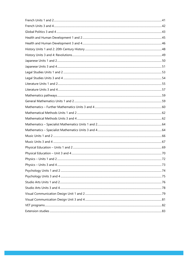| -72 |
|-----|
|     |
|     |
|     |
|     |
|     |
|     |
|     |
|     |
|     |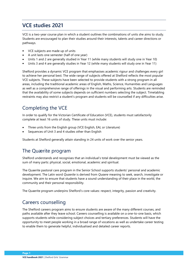# <span id="page-3-0"></span>**VCE studies 2021**

VCE is a two-year course plan in which a student outlines the combinations of units she aims to study. Students are encouraged to plan their studies around their interests, talents and career directions or pathways.

- VCE subjects are made up of units
- A unit lasts one semester (half of one year)
- Units 1 and 2 are generally studied in Year 11 (while many students will study one in Year 10)
- Units 3 and 4 are generally studies in Year 12 (while many students will study one in Year 11)

Shelford provides a dynamic VCE program that emphasises academic rigour and challenges every girl to achieve her personal best. The wide range of subjects offered at Shelford reflects the most popular VCE subjects. These subjects have been selected to provide students with a strong program in all areas, including the traditional academic areas of English, Maths, Science, Humanities and Languages as well as a comprehensive range of offerings in the visual and performing arts. Students are reminded that the availability of some subjects depends on sufficient numbers selecting the subject. Timetabling restraints may also restrict a student's program and students will be counselled if any difficulties arise.

# <span id="page-3-1"></span>Completing the VCE

In order to qualify for the Victorian Certificate of Education (VCE), students must satisfactorily complete at least 16 units of study. These units must include:

- Three units from the English group (VCE English, EAL or Literature)
- Sequences of Unit 3 and 4 studies other than English

Students at Shelford generally attain standing in 24 units of work over the senior years.

### <span id="page-3-2"></span>The Quærite program

Shelford understands and recognises that an individual's total development must be viewed as the sum of many parts: physical, social, emotional, academic and spiritual.

The Quaerite pastoral care program in the Senior School supports students' personal and academic development. The Latin word *Quaerite* is derived from *Quaere* meaning to seek, search, investigate or inquire. We aim to ensure that students have a sound understanding of their place in the world, the community and their personal responsibility.

The Quaerite program underpins Shelford's core values: respect, integrity, passion and creativity.

### <span id="page-3-3"></span>Careers counselling

The Shelford careers program aims to ensure students are aware of the many different courses, and paths available after they leave school. Careers counselling is available on a one-to-one basis, which supports students while considering subject choices and tertiary preferences. Students will have the opportunity to meet people working in a broad range of vocations as well as undertake career testing to enable them to generate helpful, individualised and detailed career reports.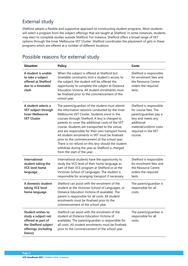# <span id="page-4-0"></span>External study

Shelford adopts a flexible and supportive approach to constructing student programs. Most students will select a program from the subject offerings that are taught at Shelford. In some instances, students may elect to complete studies outside Shelford. For instance, Shelford offers a broad range of VET options through the Inner Melbourne VET Cluster. Shelford coordinates the placement of girls in these programs which are offered at a number of different locations.

| <b>Situation</b>                                                                                                                | <b>Policy</b>                                                                                                                                                                                                                                                                                                                                                                                                                                                                                                                                                                                              | Costs                                                                                                                                                                    |
|---------------------------------------------------------------------------------------------------------------------------------|------------------------------------------------------------------------------------------------------------------------------------------------------------------------------------------------------------------------------------------------------------------------------------------------------------------------------------------------------------------------------------------------------------------------------------------------------------------------------------------------------------------------------------------------------------------------------------------------------------|--------------------------------------------------------------------------------------------------------------------------------------------------------------------------|
| A student is unable<br>to take a subject<br>offered at Shelford<br>due to a timetable<br>clash                                  | When the subject is offered at Shelford but<br>timetable constraints limit a student's access to<br>the subject, the student will be offered the<br>opportunity to complete the subject at Distance<br>Education Victoria. All student enrolments must<br>be finalised prior to the commencement of the<br>school year.                                                                                                                                                                                                                                                                                    | Shelford is responsible<br>for enrolment fees and<br>the Resource Centre<br>orders the required<br>texts.                                                                |
| A student selects a<br>VET subject through<br><b>Inner Melbourne</b><br><b>VET Cluster</b>                                      | The parent/guardian of the student must attend<br>the information sessions conducted by the Inner<br>Melbourne VET Cluster. Students enrol in the<br>courses through Shelford. A levy is charged to<br>parents to cover the additional costs of the VET<br>course. Students are transported to the venue,<br>and are responsible for their own transport home.<br>All student enrolments in VET must be finalised<br>prior to the commencement of the school year.<br>There is no refund on this levy should the student<br>withdraw during the year as Shelford is charged<br>from the start of the year. | Shelford is responsible<br>for course fees. The<br>parent/guardian pay a<br>levy and meets any<br>additional<br>material/uniform costs<br>required in the VET<br>course. |
| International<br>student taking the<br><b>VCE level home</b><br>language                                                        | International students have the opportunity to<br>study the VCE level of their home language as<br>part of their VCE program at Shelford or at the<br>Victorian School of Languages. The student is<br>responsible for arranging transport if necessary.                                                                                                                                                                                                                                                                                                                                                   | Shelford is responsible<br>for enrolment fees and<br>the Resource Centre<br>orders the required<br>texts.                                                                |
| A domestic student<br>taking VCE level<br>home language                                                                         | Shelford can assist with the enrolment of the<br>student at the Victorian School of Languages, or<br>Distance Education Victoria (if available). The<br>parent is responsible for all costs. All student<br>enrolments must be finalised prior to the<br>commencement of the school year.                                                                                                                                                                                                                                                                                                                  | The parent/guardian is<br>responsible for all<br>costs.                                                                                                                  |
| <b>Student wishes to</b><br>study a subject not<br>offered as part of<br>the Shelford subject<br>offerings (including<br>Dance) | Shelford can assist with the enrolment of the<br>student at Distance Education Victoria (if<br>available). The parent/guardian is responsible for<br>all costs. All student enrolments must be finalised<br>prior to the commencement of the school year.                                                                                                                                                                                                                                                                                                                                                  | The parent/guardian is<br>responsible for all<br>costs.                                                                                                                  |

# <span id="page-4-1"></span>Possible reasons for external study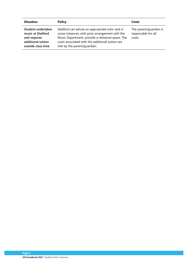| <b>Situation</b>                                                                                    | <b>Policy</b>                                                                                                                                                                                                                             | Costs                                                   |
|-----------------------------------------------------------------------------------------------------|-------------------------------------------------------------------------------------------------------------------------------------------------------------------------------------------------------------------------------------------|---------------------------------------------------------|
| Student undertakes<br>music at Shelford<br>and requires<br>additional tuition<br>outside class time | Shelford can advise on appropriate tutor and in<br>some instances, with prior arrangement with the<br>Music Department, provide a rehearsal space. The<br>costs associated with the additional tuition are<br>met by the parent/guardian. | The parent/guardian is<br>responsible for all<br>costs. |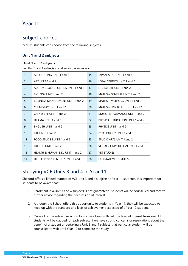# <span id="page-6-0"></span>**Year 11**

## <span id="page-6-1"></span>Subject choices

Year 11 students can choose from the following subjects.

### **Unit 1 and 2 subjects**

|                | Unit 1 and 2 subjects                                   |    |                                   |  |  |  |
|----------------|---------------------------------------------------------|----|-----------------------------------|--|--|--|
|                | All Unit 1 and 2 subjects are taken for the entire year |    |                                   |  |  |  |
| $\mathbf{1}$   | ACCOUNTING UNIT 1 and 2                                 | 15 | JAPANESE SL UNIT 1 and 2          |  |  |  |
| $\overline{2}$ | ART UNIT 1 and 2                                        | 16 | <b>LEGAL STUDIES UNIT 1 and 2</b> |  |  |  |
| $\overline{3}$ | AUST & GLOBAL POLITICS UNIT 1 and 2                     | 17 | LITERATURE UNIT 1 and 2           |  |  |  |
| 4              | BIOLOGY UNIT 1 and 2                                    | 18 | MATHS - GENERAL UNIT 1 and 2      |  |  |  |
| 5              | <b>BUSINESS MANAGEMENT UNIT 1 and 2</b>                 | 19 | MATHS - METHODS UNIT 1 and 2      |  |  |  |
| 6              | CHEMISTRY UNIT 1 and 2                                  | 20 | MATHS - SPECIALIST UNIT 1 and 2   |  |  |  |
| 7              | CHINESE FL UNIT 1 and 2                                 | 21 | MUSIC PERFORMANCE UNIT 1 and 2    |  |  |  |
| 8              | DRAMA UNIT 1 and 2                                      | 22 | PHYSICAL EDUCATION UNIT 1 and 2   |  |  |  |
| 9              | <b>ENGLISH UNIT 1 and 2</b>                             | 23 | PHYSICS UNIT 1 and 2              |  |  |  |
| 10             | EAL UNIT 1 and 2                                        | 24 | PSYCHOLOGY UNIT 1 and 2           |  |  |  |
| 11             | FOOD STUDIES UNIT 1 and 2                               | 25 | STUDIO ARTS UNIT 1 and 2          |  |  |  |
| 12             | FRENCH UNIT 1 and 2                                     | 26 | VISUAL COMM DESIGN UNIT 1 and 2   |  |  |  |
| 13             | HEALTH & HUMAN DEV UNIT 1 and 2                         | 27 | <b>VET STUDIES</b>                |  |  |  |
| 14             | HISTORY: 20th CENTURY UNIT 1 and 2                      | 28 | <b>EXTERNAL VCE STUDIES</b>       |  |  |  |
|                |                                                         |    |                                   |  |  |  |

# <span id="page-6-2"></span>Studying VCE Units 3 and 4 in Year 11

Shelford offers a limited number of VCE Unit 3 and 4 subjects to Year 11 students. It is important for students to be aware that:

- 1. Enrolment in a Unit 3 and 4 subjects is not guaranteed. Students will be counselled and receive further advice regarding their expression of interest.
- 2. Although the School offers this opportunity to students in Year 11, they will be expected to keep up with the standard and level of achievement expected of a Year 12 student.
- 3. Once all of the subject selection forms have been collated, the level of interest from Year 11 students will be gauged for each subject. If we have strong concerns or reservations about the benefit of a student undertaking a Unit 3 and 4 subject, that particular student will be counselled to wait until Year 12 to complete the study.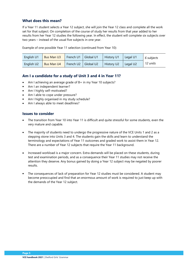### **What does this mean?**

If a Year 11 student selects a Year 12 subject, she will join the Year 12 class and complete all the work set for that subject. On completion of the course of study her results from that year added to her results from her Year 12 studies the following year. In effect, the student will complete six subjects over two years – instead of the usual five subjects in one year.

Example of one possible Year 11 selection (continued from Year 10):

| English U1 | <b>Bus Man U3</b> | French U1 | Global U1 | <b>History U1</b> | Legal U1             | 6 subjects |
|------------|-------------------|-----------|-----------|-------------------|----------------------|------------|
| English U2 | Bus Man U4        | French U2 | Global U2 | <b>History U2</b> | Legal U <sub>2</sub> | 12 units   |

### **Am I a candidate for a study of Unit 3 and 4 in Year 11?**

- Am I achieving an average grade of B+ in my Year 10 subjects?
- Am I an independent learner?
- Am I highly self-motivated?
- Am I able to cope under pressure?
- Am I highly organised in my study schedule?
- Am I always able to meet deadlines?

### **Issues to consider**

- The transition from Year 10 into Year 11 is difficult and quite stressful for some students, even the very mature and capable.
- The majority of students need to undergo the progressive nature of the VCE Units 1 and 2 as a stepping stone into Units 3 and 4. The students gain the skills and learn to understand the terminology and expectations of Year 11 outcomes and graded work to assist them in Year 12. There are a number of Year 12 subjects that require the Year 11 background.
- Increased workload is a major concern. Extra demands will be placed on these students, during test and examination periods, and as a consequence their Year 11 studies may not receive the attention they deserve. Any bonus gained by doing a Year 12 subject may be negated by poorer results.
- The consequences of lack of preparation for Year 12 studies must be considered. A student may become preoccupied and find that an enormous amount of work is required to just keep up with the demands of the Year 12 subject.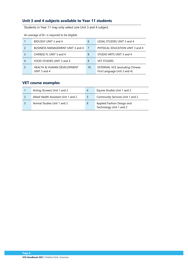### **Unit 3 and 4 subjects available to Year 11 students**

Students in Year 11 may only select one Unit 3 and 4 subject.

|   | BIOLOGY UNIT 3 and 4                                  | 6              | LEGAL STUDIES UNIT 3 and 4                                              |
|---|-------------------------------------------------------|----------------|-------------------------------------------------------------------------|
|   | BUSINESS MANAGEMENT UNIT 3 and 4                      | $\overline{7}$ | PHYSICAL EDUCATION UNIT 3 and 4                                         |
|   | CHINESE FL UNIT 3 and 4                               | 8              | STUDIO ARTS UNIT 3 and 4                                                |
| 4 | FOOD STUDIES UNIT 3 and 4                             | 9              | <b>VET STUDIES</b>                                                      |
|   | <b>HEALTH &amp; HUMAN DEVELOPMENT</b><br>UNIT 3 and 4 | 10             | <b>EXTERNAL VCE (excluding Chinese)</b><br>First Language Unit 3 and 4) |

An average of B+ is required to be eligible.

### **VET course examples**

| Acting (Screen) Unit 1 and 2         | 4 | Equine Studies Unit 1 and 2                           |
|--------------------------------------|---|-------------------------------------------------------|
| Allied Health Assistant Unit 1 and 2 | 5 | Community Services Unit 1 and 2                       |
| Animal Studies Unit 1 and 2          | b | Applied Fashion Design and<br>Technology Unit 1 and 2 |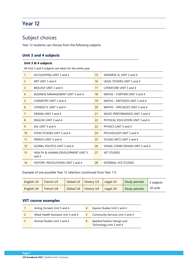# <span id="page-9-0"></span>**Year 12**

# <span id="page-9-1"></span>Subject choices

Year 12 students can choose from the following subjects.

### **Unit 3 and 4 subjects**

|                | Unit 3 & 4 subjects                                     |    |                                 |  |  |  |
|----------------|---------------------------------------------------------|----|---------------------------------|--|--|--|
|                | All Unit 3 and 4 subjects are taken for the entire year |    |                                 |  |  |  |
| $\mathbf{1}$   | ACCOUNTING UNIT 3 and 4                                 | 15 | JAPANESE SL UNIT 3 and 4        |  |  |  |
| 2              | ART UNIT 3 and 4                                        | 16 | LEGAL STUDIES UNIT 3 and 4      |  |  |  |
| $\overline{3}$ | BIOLOGY UNIT 3 and 4                                    | 17 | LITERATURE UNIT 3 and 4         |  |  |  |
| $\overline{4}$ | BUSINESS MANAGEMENT UNIT 3 and 4                        | 18 | MATHS - FURTHER UNIT 3 and 4    |  |  |  |
| 5              | CHEMISTRY UNIT 3 and 4                                  | 19 | MATHS - METHODS UNIT 3 and 4    |  |  |  |
| 6              | CHINESE FL UNIT 3 and 4                                 | 20 | MATHS - SPECIALIST UNIT 3 and 4 |  |  |  |
| $\overline{7}$ | DRAMA UNIT 3 and 4                                      | 21 | MUSIC PERFORMANCE UNIT 3 and 4  |  |  |  |
| 8              | ENGLISH UNIT 3 and 4                                    | 22 | PHYSICAL EDUCATION UNIT 3 and 4 |  |  |  |
| 9              | EAL UNIT 3 and 4                                        | 23 | PHYSICS UNIT 3 and 4            |  |  |  |
| 10             | FOOD STUDIES UNIT 3 and 4                               | 24 | PSYCHOLOGY UNIT 3 and 4         |  |  |  |
| 11             | FRENCH UNIT 3 and 4                                     | 25 | STUDIO ARTS UNIT 3 and 4        |  |  |  |
| 12             | <b>GLOBAL POLITICS UNIT 3 and 4</b>                     | 26 | VISUAL COMM DESIGN UNIT 3 and 4 |  |  |  |
| 13             | <b>HEALTH &amp; HUMAN DEVELOPMENT UNIT 3</b><br>and $4$ | 27 | <b>VET STUDIES</b>              |  |  |  |
| 14             | HISTORY: REVOLUTIONS UNIT 3 and 4                       | 28 | <b>EXTERNAL VCE STUDIES</b>     |  |  |  |

Example of one possible Year 12 selection (continued from Year 11):

| English U3 | French U3 | <b>Global U3</b> | <b>History U3</b> | Legal U3 | Study periods | 5 subjects |
|------------|-----------|------------------|-------------------|----------|---------------|------------|
| English U4 | French U4 | Global U4        | <b>History U4</b> | Legal U4 | Study periods | 10 units   |

### **VET course examples**

| Acting (Screen) Unit 3 and 4         | 4 | Equine Studies Unit 3 and 4                           |
|--------------------------------------|---|-------------------------------------------------------|
| Allied Health Assistant Unit 3 and 4 | 5 | Community Services Unit 3 and 4                       |
| Animal Studies Unit 3 and 4          | 6 | Applied Fashion Design and<br>Technology Unit 3 and 4 |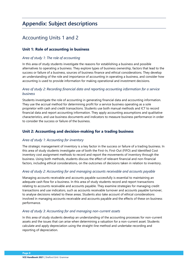# <span id="page-10-0"></span>**Appendix: Subject descriptions**

# <span id="page-10-1"></span>Accounting Units 1 and 2

### **Unit 1: Role of accounting in business**

### *Area of study 1: The role of accounting*

In this area of study students investigate the reasons for establishing a business and possible alternatives to operating a business. They explore types of business ownership, factors that lead to the success or failure of a business, sources of business finance and ethical considerations. They develop an understanding of the role and importance of accounting in operating a business, and consider how accounting is used to provide information for making operational and investment decisions.

### *Area of study 2: Recording financial data and reporting accounting information for a service business*

Students investigate the role of accounting in generating financial data and accounting information. They use the accrual method for determining profit for a service business operating as a sole proprietor with cash and credit transactions. Students use both manual methods and ICT to record financial data and report accounting information. They apply accounting assumptions and qualitative characteristics, and use business documents and indicators to measure business performance in order to consider the success or failure of the business.

### **Unit 2: Accounting and decision-making for a trading business**

### *Area of study 1: Accounting for inventory*

The strategic management of inventory is a key factor in the success or failure of a trading business. In this area of study students investigate use of both the First-In, First-Out (FIFO) and Identified Cost inventory cost assignment methods to record and report the movements of inventory through the business. Using both methods, students discuss the effect of relevant financial and non-financial factors, including ethical considerations, on the outcomes of decisions taken in relation to inventory.

### *Area of study 2: Accounting for and managing accounts receivable and accounts payable*

Managing accounts receivable and accounts payable successfully is essential to maintaining an adequate cash flow for a business. In this area of study students record and report transactions relating to accounts receivable and accounts payable. They examine strategies for managing credit transactions and use indicators, such as accounts receivable turnover and accounts payable turnover, to analyse decisions related to these areas. Students also take account of ethical considerations involved in managing accounts receivable and accounts payable and the effects of these on business performance.

### *Area of study 3: Accounting for and managing non-current assets*

In this area of study students develop an understanding of the accounting processes for non-current assets and the issues that can arise when determining a valuation for a non-current asset. Students calculate and apply depreciation using the straight-line method and undertake recording and reporting of depreciation.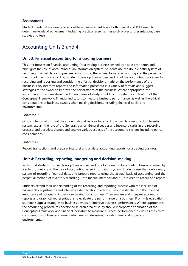### **Assessment**

Students undertake a variety of school-based assessment tasks, both manual and ICT based, to determine levels of achievement including practical exercises, research projects, presentations, case studies and tests.

### <span id="page-11-0"></span>Accounting Units 3 and 4

### **Unit 3: Financial accounting for a trading business**

This unit focuses on financial accounting for a trading business owned by a sole proprietor, and highlights the role of accounting as an information system. Students use the double entry system of recording financial data and prepare reports using the accrual basis of accounting and the perpetual method of inventory recording. Students develop their understanding of the accounting processes for recording and reporting and consider the effect of decisions made on the performance of the business. They interpret reports and information presented in a variety of formats and suggest strategies to the owner to improve the performance of the business. Where appropriate, the accounting procedures developed in each area of study should incorporate the application of the Conceptual Framework, financial indicators to measure business performance, as well as the ethical considerations of business owners when making decisions, including financial, social and environmental.

### *Outcome 1*

On completion of this unit the student should be able to record financial data using a double entry system; explain the role of the General Journal, General Ledger and inventory cards in the recording process; and describe, discuss and analyse various aspects of the accounting system, including ethical considerations.

### *Outcome 2*

Record transactions and prepare, interpret and analyse accounting reports for a trading business.

### **Unit 4: Recording, reporting, budgeting and decision-making**

In this unit students further develop their understanding of accounting for a trading business owned by a sole proprietor and the role of accounting as an information system. Students use the double entry system of recording financial data, and prepare reports using the accrual basis of accounting and the perpetual method of inventory recording. Both manual methods and ICT are used to record and report.

Students extend their understanding of the recording and reporting process with the inclusion of balance day adjustments and alternative depreciation methods. They investigate both the role and importance of budgeting in decision-making for a business. They analyse and interpret accounting reports and graphical representations to evaluate the performance of a business. From this evaluation, students suggest strategies to business owners to improve business performance. Where appropriate, the accounting procedures developed in each area of study should incorporate application of the Conceptual Framework and financial indicators to measure business performance, as well as the ethical considerations of business owners when making decisions, including financial, social and environmental.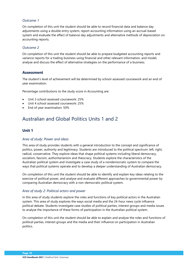### *Outcome 1*

On completion of this unit the student should be able to record financial data and balance day adjustments using a double entry system, report accounting information using an accrual-based system and evaluate the effect of balance day adjustments and alternative methods of depreciation on accounting reports.

### *Outcome 2*

On completion of this unit the student should be able to prepare budgeted accounting reports and variance reports for a trading business using financial and other relevant information, and model, analyse and discuss the effect of alternative strategies on the performance of a business.

### **Assessment**

The student's level of achievement will be determined by school-assessed coursework and an end of year examination.

Percentage contributions to the study score in Accounting are:

- Unit 3 school assessed coursework: 25%
- Unit 4 school assessed coursework: 25%
- End of year examination: 50%

# <span id="page-12-0"></span>Australian and Global Politics Units 1 and 2

### **Unit 1**

### *Area of study: Power and ideas*

This area of study provides students with a general introduction to the concept and significance of politics, power, authority and legitimacy. Students are introduced to the political spectrum: left, right, radical, conservative. They explore ideas that shape political systems including liberal democracy, socialism, fascism, authoritarianism and theocracy. Students explore the characteristics of the Australian political system and investigate a case study of a nondemocratic system to compare the ways that political systems operate and to develop a deeper understanding of Australian democracy.

On completion of this unit the student should be able to identify and explain key ideas relating to the exercise of political power, and analyse and evaluate different approaches to governmental power by comparing Australian democracy with a non-democratic political system.

### *Area of study 2: Political actors and power*

In this area of study students explore the roles and functions of key political actors in the Australian system. This area of study explores the ways social media and the 24-hour news cycle influence political debate. Students investigate case studies of political parties, interest groups and media issues to analyse the importance of these forms of participation in the Australian political system.

On completion of this unit the student should be able to explain and analyse the roles and functions of political parties, interest groups and the media and their influence on participation in Australian politics.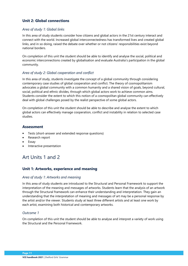### **Unit 2: Global connections**

### *Area of study 1: Global links*

In this area of study students consider how citizens and global actors in the 21st century interact and connect with the world. Increased global interconnectedness has transformed lives and created global links, and in so doing, raised the debate over whether or not citizens' responsibilities exist beyond national borders.

On completion of this unit the student should be able to identify and analyse the social, political and economic interconnections created by globalisation and evaluate Australia's participation in the global community.

### *Area of study 2: Global cooperation and conflict*

In this area of study, students investigate the concept of a global community through considering contemporary case studies of global cooperation and conflict. The theory of cosmopolitanism advocates a global community with a common humanity and a shared vision of goals, beyond cultural, social, political and ethnic divides, through which global actors work to achieve common aims. Students consider the extent to which this notion of a cosmopolitan global community can effectively deal with global challenges posed by the realist perspective of some global actors.

On completion of this unit the student should be able to describe and analyse the extent to which global actors can effectively manage cooperation, conflict and instability in relation to selected case studies.

### **Assessment**

- Tests (short-answer and extended response questions)
- Research report
- **Essay**
- Interactive presentation

# <span id="page-13-0"></span>Art Units 1 and 2

### **Unit 1: Artworks, experience and meaning**

### *Area of study 1: Artworks and meaning*

In this area of study students are introduced to the Structural and Personal Framework to support the interpretation of the meaning and messages of artworks. Students learn that the analysis of an artwork through the Structural framework can enhance their understanding and interpretation. They gain an understanding that the interpretation of meaning and messages of art may be a personal response by the artist and/or the viewer. Students study at least three different artists and at least one work by each artist, examining both historical and contemporary artworks.

### *Outcome 1*

On completion of this unit the student should be able to analyse and interpret a variety of work using the Structural and the Personal Framework.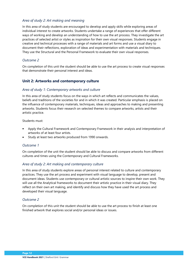### *Area of study 2: Art making and meaning*

In this area of study students are encouraged to develop and apply skills while exploring areas of individual interest to create artworks. Students undertake a range of experiences that offer different ways of working and develop an understanding of how to use the art process. They investigate the art practices of selected artist or styles as inspiration for their own visual responses. Students engage in creative and technical processes with a range of materials and art forms and use a visual diary to document their reflections, exploration of ideas and experimentation with materials and techniques. They use the Structural and the Personal Framework to evaluate their own visual responses.

### *Outcome 2*

On completion of this unit the student should be able to use the art process to create visual responses that demonstrate their personal interest and ideas.

### **Unit 2: Artworks and contemporary culture**

### *Area of study 1: Contemporary artworks and culture*

In this area of study students focus on the ways in which art reflects and communicates the values, beliefs and traditions of the societies for and in which it was created. Particular emphasis is placed on the influence of contemporary materials, techniques, ideas and approaches to making and presenting artworks. Students focus their research on selected themes to compare artworks, artists and their artistic practice.

Students must:

- Apply the Cultural Framework and Contemporary Framework in their analysis and interpretation of artworks of at least four artists.
- Study at least two artworks produced from 1990 onwards.

### *Outcome 1*

On completion of the unit the student should be able to discuss and compare artworks from different cultures and times using the Contemporary and Cultural Frameworks.

### *Area of study 2: Art making and contemporary culture*

In this area of study students explore areas of personal interest related to culture and contemporary practices. They use the art process and experiment with visual language to develop, present and document ideas. Students use contemporary or cultural artistic sources to inspire their own work. They will use all the Analytical frameworks to document their artistic practice in their visual diary. They reflect on their own art making, and identify and discuss how they have used the art process and developed their visual language.

### *Outcome 2*

On completion of this unit the student should be able to use the art process to finish at least one finished artwork that explores social and/or personal ideas or issues.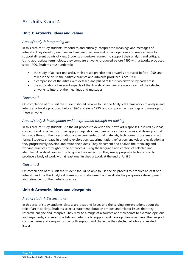# <span id="page-15-0"></span>Art Units 3 and 4

### **Unit 3: Artworks, ideas and values**

### *Area of study 1: Interpreting art*

In this area of study students respond to and critically interpret the meanings and messages of artworks. They develop, examine and analyse their own and others' opinions and use evidence to support different points of view. Students undertake research to support their analysis and critique. Using appropriate terminology, they compare artworks produced before 1990 with artworks produced since 1990. Students must undertake:

- the study of at least one artist, their artistic practice and artworks produced before 1990, and at least one artist, their artistic practice and artworks produced since 1990
- a comparison of the artists with detailed analysis of at least two artworks by each artist
- the application of relevant aspects of the Analytical Frameworks across each of the selected artworks to interpret the meanings and messages.

### *Outcome 1*

On completion of this unit the student should be able to use the Analytical Frameworks to analyse and interpret artworks produced before 1990 and since 1990, and compare the meanings and messages of these artworks.

### *Area of study 2: Investigation and interpretation through art making*

In this area of study students use the art process to develop their own art responses inspired by ideas, concepts and observations. They apply imagination and creativity as they explore and develop visual language through the investigation and experimentation of materials, techniques, processes and art forms. Students engage in ongoing exploration, experimentation, reflection, analysis and evaluation as they progressively develop and refine their ideas. They document and analyse their thinking and working practices throughout the art process, using the language and context of selected and identified Analytical Frameworks to guide their reflection. They use appropriate technical skill to produce a body of work with at least one finished artwork at the end of Unit 3.

### *Outcome 2*

On completion of this unit the student should be able to use the art process to produce at least one artwork, and use the Analytical Frameworks to document and evaluate the progressive development and refinement of their artistic practice.

### **Unit 4: Artworks, ideas and viewpoints**

### *Area of study 1: Discussing art*

In this area of study students discuss art ideas and issues and the varying interpretations about the role of art in society. Students select a statement about an art idea and related issues that they research, analyse and interpret. They refer to a range of resources and viewpoints to examine opinions and arguments, and refer to artists and artworks to support and develop their own ideas. The range of commentaries and viewpoints may both support and challenge the selected art idea and related issues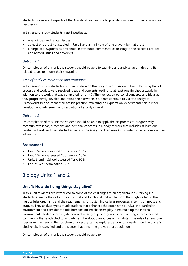Students use relevant aspects of the Analytical Frameworks to provide structure for their analysis and discussion.

In this area of study students must investigate:

- one art idea and related issues
- at least one artist not studied in Unit 3 and a minimum of one artwork by that artist
- a range of viewpoints as presented in attributed commentaries relating to the selected art idea and related issues and artwork/s.

### *Outcome 1*

On completion of this unit the student should be able to examine and analyse an art idea and its related issues to inform their viewpoint.

### *Area of study 2: Realisation and resolution*

In this area of study students continue to develop the body of work begun in Unit 3 by using the art process and work toward resolved ideas and concepts leading to at least one finished artwork, in addition to the work that was completed for Unit 3. They reflect on personal concepts and ideas as they progressively develop and refine their artworks. Students continue to use the Analytical Frameworks to document their artistic practice, reflecting on exploration, experimentation, further development, refinement and resolution of a body of work.

### *Outcome 2*

On completion of this unit the student should be able to apply the art process to progressively communicate ideas, directions and personal concepts in a body of work that includes at least one finished artwork and use selected aspects of the Analytical Frameworks to underpin reflections on their art making.

### **Assessment**

- Unit 3 School-assessed Coursework: 10 %
- Unit 4 School-assessed Coursework: 10 %
- Units 3 and 4 School-assessed Task: 50 %
- End-of-year examination: 30 %

# <span id="page-16-0"></span>Biology Units 1 and 2

### **Unit 1: How do living things stay alive?**

In this unit students are introduced to some of the challenges to an organism in sustaining life. Students examine the cell as the structural and functional unit of life, from the single celled to the multicellular organism, and the requirements for sustaining cellular processes in terms of inputs and outputs. They analyse types of adaptations that enhances the organism's survival in a particular environment and consider the role homeostatic mechanisms play in maintaining the internal environment. Students investigate how a diverse group of organisms form a living interconnected community that is adapted to, and utilises, the abiotic resources of its habitat. The role of a keystone species in maintaining the structure of an ecosystem is explored. Students consider how the planet's biodiversity is classified and the factors that affect the growth of a population.

On completion of this unit the student should be able to: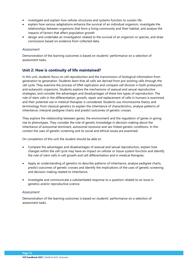- investigate and explain how cellular structures and systems function to sustain life
- explain how various adaptations enhance the survival of an individual organism, investigate the relationships between organisms that form a living community and their habitat, and analyse the impacts of factors that affect population growth
- design and undertake an investigation related to the survival of an organism or species, and draw conclusions based on evidence from collected data.

### *Assessment*

Demonstration of the learning outcomes is based on students' performance on a selection of assessment tasks.

### **Unit 2: How is continuity of life maintained?**

In this unit, students focus on cell reproduction and the transmission of biological information from generation to generation. Students learn that all cells are derived from pre-existing cells through the cell cycle. They examine the process of DNA replication and compare cell division in both prokaryotic and eukaryotic organisms. Students explore the mechanisms of asexual and sexual reproductive strategies, and consider the advantages and disadvantages of these two types of reproduction. The role of stem cells in the differentiation, growth, repair and replacement of cells in humans is examined, and their potential use in medical therapies is considered. Students use chromosome theory and terminology from classical genetics to explain the inheritance of characteristics, analyse patterns of inheritance, interpret pedigree charts and predict outcomes of genetic crosses.

They explore the relationship between genes, the environment and the regulation of genes in giving rise to phenotypes. They consider the role of genetic knowledge in decision making about the inheritance of autosomal dominant, autosomal recessive and sex-linked genetic conditions. In this context the uses of genetic screening and its social and ethical issues are examined.

On completion of this unit the student should be able to:

- Compare the advantages and disadvantages of asexual and sexual reproduction, explain how changes within the cell cycle may have an impact on cellular or tissue system function and identify the role of stem cells in cell growth and cell differentiation and in medical therapies.
- Apply an understanding of genetics to describe patterns of inheritance, analyse pedigree charts, predict outcomes of genetic crosses and identify the implications of the uses of genetic screening and decision making related to inheritance.
- Investigate and communicate a substantiated response to a question related to an issue in genetics and/or reproductive science.

### *Assessment*

Demonstration of the learning outcomes is based on students' performance on a selection of assessment tasks.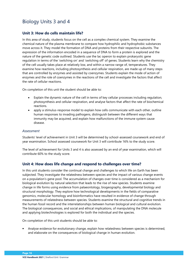# <span id="page-18-0"></span>Biology Units 3 and 4

### **Unit 3: How do cells maintain life?**

In this area of study, students focus on the cell as a complex chemical system. They examine the chemical nature of the plasma membrane to compare how hydrophilic and hydrophobic substances move across it. They model the formation of DNA and proteins from their respective subunits. The expression of the information encoded in a sequence of DNA to form a protein is explored and the nature of the genetic code outlined. Students use the lac operon to explain prokaryotic gene regulation in terms of the 'switching on' and 'switching off' of genes. Students learn why the chemistry of the cell usually takes place at relatively low, and within a narrow range of, temperatures. They examine how reactions, including photosynthesis and cellular respiration, are made up of many steps that are controlled by enzymes and assisted by coenzymes. Students explain the mode of action of enzymes and the role of coenzymes in the reactions of the cell and investigate the factors that affect the rate of cellular reactions.

On completion of this unit the student should be able to:

- Explain the dynamic nature of the cell in terms of key cellular processes including regulation, photosynthesis and cellular respiration, and analyse factors that affect the rate of biochemical reactions.
- apply a stimulus-response model to explain how cells communicate with each other, outline human responses to invading pathogens, distinguish between the different ways that immunity may be acquired, and explain how malfunctions of the immune system cause disease.

### *Assessment*

Students' level of achievement in Unit 3 will be determined by school-assessed coursework and end of year examination. School assessed coursework for Unit 3 will contribute 16% to the study score.

The level of achievement for Units 3 and 4 is also assessed by an end of year examination, which will contribute 60% to the study score.

### **Unit 4: How does life change and respond to challenges over time?**

In this unit students consider the continual change and challenges to which life on Earth has been subjected. They investigate the relatedness between species and the impact of various change events on a population's gene pool. The accumulation of changes over time is considered as a mechanism for biological evolution by natural selection that leads to the rise of new species. Students examine change in life forms using evidence from palaeontology, biogeography, developmental biology and structural morphology. They explore how technological developments in the fields of comparative genomics, molecular homology and bioinformatics have resulted in evidence of change through measurements of relatedness between species. Students examine the structural and cognitive trends in the human fossil record and the interrelationships between human biological and cultural evolution. The biological consequences, and social and ethical implications, of manipulating the DNA molecule and applying biotechnologies is explored for both the individual and the species.

On completion of this unit students should be able to:

• Analyse evidence for evolutionary change, explain how relatedness between species is determined, and elaborate on the consequences of biological change in human evolution.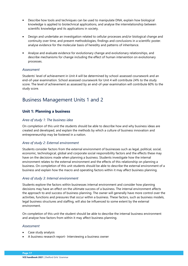- Describe how tools and techniques can be used to manipulate DNA, explain how biological knowledge is applied to biotechnical applications, and analyse the interrelationship between scientific knowledge and its applications in society.
- Design and undertake an investigation related to cellular processes and/or biological change and continuity over time, and present methodologies, findings and conclusions in a scientific poster. analyse evidence for the molecular basis of heredity and patterns of inheritance.
- Analyse and evaluate evidence for evolutionary change and evolutionary relationships, and describe mechanisms for change including the effect of human intervention on evolutionary processes.

### *Assessment*

Students' level of achievement in Unit 4 will be determined by school-assessed coursework and an end-of-year examination. School assessed coursework for Unit 4 will contribute 24% to the study score. The level of achievement as assessed by an end-of-year examination will contribute 60% to the study score.

# <span id="page-19-0"></span>Business Management Units 1 and 2

### **Unit 1: Planning a business**

### *Area of study 1: The business idea*

On completion of this unit the students should be able to describe how and why business ideas are created and developed, and explain the methods by which a culture of business innovation and entrepreneurship may be fostered in a nation.

### *Area of study 2: External environment*

Students consider factors from the external environment of businesses such as legal, political, social, economic, technological, global and corporate social responsibility factors and the effects these may have on the decisions made when planning a business. Students investigate how the internal environment relates to the external environment and the effects of this relationship on planning a business. On completion of this unit students should be able to describe the external environment of a business and explain how the macro and operating factors within it may affect business planning.

### *Area of study 3: Internal environment*

Students explore the factors within businesses internal environment and consider how planning decisions may have an effect on the ultimate success of a business. The internal environment affects the approach to and success of business planning. The owner will generally have more control over the activities, functions and pressures that occur within a business. These factors, such as business models, legal business structures and staffing, will also be influenced to some extent by the external environment.

On completion of this unit the student should be able to describe the internal business environment and analyse how factors from within it may affect business planning.

- Case study analysis
- A business research report- Interviewing a business owner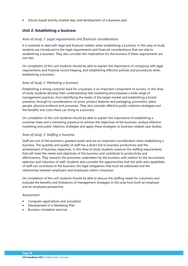• School-based activity (market day) and development of a business plan

### **Unit 2: Establishing a business**

### *Area of study 1: Legal requirements and financial considerations*

It is essential to deal with legal and financial matters when establishing a business. In this area of study students are introduced to the legal requirements and financial considerations that are vital to establishing a business. They also consider the implications for the business if these requirements are not met.

On completion of this unit students should be able to explain the importance of complying with legal requirements and financial record keeping, and establishing effective policies and procedures when establishing a business.

### *Area of study 2: Marketing a business*

Establishing a strong customer base for a business is an important component of success. In this Area of study students develop their understanding that marketing encompasses a wide range of management practices, from identifying the needs of the target market and establishing a brand presence, through to considerations on price, product features and packaging, promotion, place, people, physical evidence and processes. They also consider effective public relations strategies and the benefits and costs these can bring to a business.

On completion of this unit students should be able to explain the importance of establishing a customer base and a marketing presence to achieve the objectives of the business, analyse effective marketing and public relations strategies and apply these strategies to business-related case studies.

### *Area of study 3: Staffing a business*

Staff are one of the business's greatest assets and are an important consideration when establishing a business. The quantity and quality of staff has a direct link to business productivity and the achievement of business objectives. In this Area of study students examine the staffing requirements that will meet the needs and objectives of the business and contribute to productivity and effectiveness. They research the processes undertaken by the business with relation to the recruitment, selection and induction of staff. Students also consider the opportunities that the skills and capabilities of staff can contribute to the business, the legal obligations that must be addressed and the relationship between employers and employees within a business.

On completion of this unit students should be able to discuss the staffing needs for a business and evaluate the benefits and limitations of management strategies in this area from both an employer and an employee perspective.

- Computer applications and simulation
- Development of a Marketing Plan
- Business simulation exercise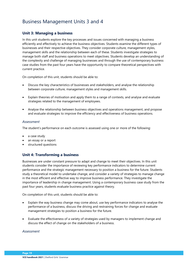# <span id="page-21-0"></span>Business Management Units 3 and 4

### **Unit 3: Managing a business**

In this unit students explore the key processes and issues concerned with managing a business efficiently and effectively to achieve the business objectives. Students examine the different types of businesses and their respective objectives. They consider corporate culture, management styles, management skills and the relationship between each of these. Students investigate strategies to manage both staff and business operations to meet objectives. Students develop an understanding of the complexity and challenge of managing businesses and through the use of contemporary business case studies from the past four years have the opportunity to compare theoretical perspectives with current practice.

On completion of this unit, students should be able to:

- Discuss the key characteristics of businesses and stakeholders, and analyse the relationship between corporate culture, management styles and management skills.
- Explain theories of motivation and apply them to a range of contexts, and analyse and evaluate strategies related to the management of employees.
- Analyse the relationship between business objectives and operations management, and propose and evaluate strategies to improve the efficiency and effectiveness of business operations.

### *Assessment*

The student's performance on each outcome is assessed using one or more of the following:

- a case study
- an essay or a report
- structured questions

### **Unit 4: Transforming a business**

Businesses are under constant pressure to adapt and change to meet their objectives. In this unit students consider the importance of reviewing key performance indicators to determine current performance and the strategic management necessary to position a business for the future. Students study a theoretical model to undertake change, and consider a variety of strategies to manage change in the most efficient and effective way to improve business performance. They investigate the importance of leadership in change management. Using a contemporary business case study from the past four years, students evaluate business practice against theory.

On completion of this unit, students should be able to:

- Explain the way business change may come about, use key performance indicators to analyse the performance of a business, discuss the driving and restraining forces for change and evaluate management strategies to position a business for the future.
- Evaluate the effectiveness of a variety of strategies used by managers to implement change and discuss the effect of change on the stakeholders of a business.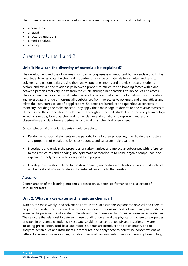The student's performance on each outcome is assessed using one or more of the following:

- a case study
- a report
- structured questions
- a media analysis
- an essay

# <span id="page-22-0"></span>Chemistry Units 1 and 2

### **Unit 1: How can the diversity of materials be explained?**

The development and use of materials for specific purposes is an important human endeavour. In this unit students investigate the chemical properties of a range of materials from metals and salts to polymers and nanomaterials. Using their knowledge of elements and atomic structure, students explore and explain the relationships between properties, structure and bonding forces within and between particles that vary in size from the visible, through nanoparticles, to molecules and atoms. They examine the modification of metals, assess the factors that affect the formation of ionic crystals and investigate a range of non-metallic substances from molecules to polymers and giant lattices and relate their structures to specific applications. Students are introduced to quantitative concepts in chemistry including the mole concept. They apply their knowledge to determine the relative masses of elements and the composition of substances. Throughout the unit, students use chemistry terminology including symbols, formulas, chemical nomenclature and equations to represent and explain observations and data from experiments, and to discuss chemical phenomena.

On completion of this unit, students should be able to:

- Relate the position of elements in the periodic table to their properties, investigate the structures and properties of metals and ionic compounds, and calculate mole quantities
- Investigate and explain the properties of carbon lattices and molecular substances with reference to their structures and bonding, use systematic nomenclature to name organic compounds, and explain how polymers can be designed for a purpose
- Investigate a question related to the development, use and/or modification of a selected material or chemical and communicate a substantiated response to the question.

### *Assessment*

Demonstration of the learning outcomes is based on students' performance on a selection of assessment tasks.

### **Unit 2: What makes water such a unique chemical?**

Water is the most widely used solvent on Earth. In this unit students explore the physical and chemical properties of water, the reactions that occur in water and various methods of water analysis. Students examine the polar nature of a water molecule and the intermolecular forces between water molecules. They explore the relationship between these bonding forces and the physical and chemical properties of water. In this context students investigate solubility, concentration, pH and reactions in water including precipitation, acid-base and redox. Students are introduced to stoichiometry and to analytical techniques and instrumental procedures, and apply these to determine concentrations of different species in water samples, including chemical contaminants. They use chemistry terminology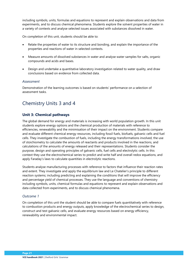including symbols, units, formulas and equations to represent and explain observations and data from experiments, and to discuss chemical phenomena. Students explore the solvent properties of water in a variety of contexts and analyse selected issues associated with substances dissolved in water.

On completion of this unit, students should be able to:

- Relate the properties of water to its structure and bonding, and explain the importance of the properties and reactions of water in selected contexts.
- Measure amounts of dissolved substances in water and analyse water samples for salts, organic compounds and acids and bases.
- Design and undertake a quantitative laboratory investigation related to water quality, and draw conclusions based on evidence from collected data.

#### *Assessment*

Demonstration of the learning outcomes is based on students' performance on a selection of assessment tasks.

### <span id="page-23-0"></span>Chemistry Units 3 and 4

### **Unit 3: Chemical pathways**

The global demand for energy and materials is increasing with world population growth. In this unit students explore energy options and the chemical production of materials with reference to efficiencies, renewability and the minimisation of their impact on the environment. Students compare and evaluate different chemical energy resources, including fossil fuels, biofuels, galvanic cells and fuel cells. They investigate the combustion of fuels, including the energy transformations involved, the use of stoichiometry to calculate the amounts of reactants and products involved in the reactions, and calculations of the amounts of energy released and their representations. Students consider the purpose, design and operating principles of galvanic cells, fuel cells and electrolytic cells. In this context they use the electrochemical series to predict and write half and overall redox equations, and apply Faraday's laws to calculate quantities in electrolytic reactions.

Students analyse manufacturing processes with reference to factors that influence their reaction rates and extent. They investigate and apply the equilibrium law and Le Chatelier's principle to different reaction systems; including predicting and explaining the conditions that will improve the efficiency and percentage yield of chemical processes. They use the language and conventions of chemistry including symbols, units, chemical formulas and equations to represent and explain observations and data collected from experiments, and to discuss chemical phenomena.

### *Outcome 1*

On completion of this unit the student should be able to compare fuels quantitatively with reference to combustion products and energy outputs, apply knowledge of the electrochemical series to design, construct and test galvanic cells, and evaluate energy resources based on energy efficiency, renewability and environmental impact.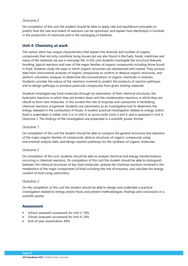### *Outcome 2*

On completion of this unit the student should be able to apply rate and equilibrium principles to predict how the rate and extent of reactions can be optimised, and explain how electrolysis is involved in the production of chemicals and in the recharging of batteries.

### **Unit 4: Chemistry at work**

The carbon atom has unique characteristics that explain the diversity and number of organic compounds that not only constitute living tissues but are also found in the fuels, foods, medicines and many of the materials we use in everyday life. In this unit students investigate the structural features, bonding, typical reactions and uses of the major families of organic compounds including those found in food. Students study the ways in which organic structures are represented and named. They process data from instrumental analyses of organic compounds to confirm or deduce organic structures, and perform volumetric analyses to determine the concentrations of organic chemicals in mixtures. Students consider the nature of the reactions involved to predict the products of reaction pathways and to design pathways to produce particular compounds from given starting materials.

Students investigate key food molecules through an exploration of their chemical structures, the hydrolytic reactions in which they are broken down and the condensation reactions in which they are rebuilt to form new molecules. In this context the role of enzymes and coenzymes in facilitating chemical reactions is explored. Students use calorimetry as an investigative tool to determine the energy released in the combustion of foods. A student practical investigation related to energy and/or food is undertaken in either Unit 3 or in Unit 4, or across both Units 3 and 4, and is assessed in Unit 4, Outcome 3. The findings of the investigation are presented in a scientific poster format.

### *Outcome 1*

On completion of this unit the student should be able to compare the general structures and reactions of the major organic families of compounds, deduce structures of organic compounds using instrumental analysis data, and design reaction pathways for the synthesis of organic molecules.

### *Outcome 2*

On completion of this unit, students should be able to analyse chemical and energy transformations occurring in chemical reactions. On completion of this unit the student should be able to distinguish between the chemical structures of key food molecules, analyse the chemical reactions involved in the metabolism of the major components of food including the role of enzymes, and calculate the energy content of food using calorimetry.

### *Outcome 3*

On the completion of this unit the student should be able to design and undertake a practical investigation related to energy and/or food, and present methodologies, findings and conclusions in a scientific poster.

- School-assessed coursework for Unit 3: 16%
- School-assessed coursework for Unit 4: 24%
- End-of-year examination: 60%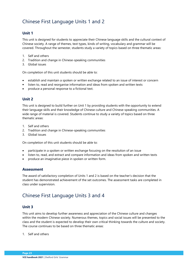# <span id="page-25-0"></span>Chinese First Language Units 1 and 2

### **Unit 1**

This unit is designed for students to appreciate their Chinese language skills and the cultural context of Chinese society. A range of themes, text types, kinds of writing, vocabulary and grammar will be covered. Throughout the semester, students study a variety of topics based on three thematic areas:

- 1. Self and others
- 2. Tradition and change in Chinese-speaking communities
- 3. Global issues

On completion of this unit students should be able to:

- establish and maintain a spoken or written exchange related to an issue of interest or concern
- listen to, read and reorganise information and ideas from spoken and written texts
- produce a personal response to a fictional text.

### **Unit 2**

This unit is designed to build further on Unit 1 by providing students with the opportunity to extend their language skills and their knowledge of Chinese culture and Chinese-speaking communities. A wide range of material is covered. Students continue to study a variety of topics based on three thematic areas:

- 1. Self and others
- 2. Tradition and change in Chinese-speaking communities
- 3. Global issues

On completion of this unit students should be able to:

- participate in a spoken or written exchange focusing on the resolution of an issue
- listen to, read, and extract and compare information and ideas from spoken and written texts
- produce an imaginative piece in spoken or written form.

### **Assessment**

The award of satisfactory completion of Units 1 and 2 is based on the teacher's decision that the student has demonstrated achievement of the set outcomes. The assessment tasks are completed in class under supervision.

# <span id="page-25-1"></span>Chinese First Language Units 3 and 4

### **Unit 3**

This unit aims to develop further awareness and appreciation of the Chinese culture and changes within the modern Chinese society. Numerous themes, topics and social issues will be presented to the class and the student is expected to develop their own critical thinking towards the culture and society. The course continues to be based on three thematic areas:

1. Self and others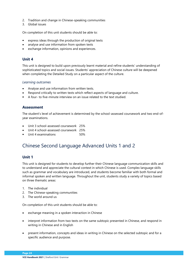- 2. Tradition and change in Chinese-speaking communities
- 3. Global issues

On completion of this unit students should be able to:

- express ideas through the production of original texts
- analyse and use information from spoken texts
- exchange information, opinions and experiences.

### **Unit 4**

This unit is designed to build upon previously learnt material and refine students' understanding of sophisticated topics and social issues. Students' appreciation of Chinese culture will be deepened when completing the Detailed Study on a particular aspect of the culture.

### *Learning outcomes*

- Analyse and use information from written texts.
- Respond critically to written texts which reflect aspects of language and culture.
- A four- to five-minute interview on an issue related to the text studied.

### **Assessment**

The student's level of achievement is determined by the school-assessed coursework and two end-ofyear examinations.

- Unit 3 school-assessed coursework 25%
- Unit 4 school-assessed coursework 25%
- Unit 4 examinations 60%

# <span id="page-26-0"></span>Chinese Second Language Advanced Units 1 and 2

### **Unit 1**

This unit is designed for students to develop further their Chinese language communication skills and to understand and appreciate the cultural context in which Chinese is used. Complex language skills such as grammar and vocabulary are introduced, and students become familiar with both formal and informal spoken and written language. Throughout the unit, students study a variety of topics based on three thematic areas:

- 1. The individual
- 2. The Chinese-speaking communities
- 3. The world around us

On completion of this unit students should be able to:

- exchange meaning in a spoken interaction in Chinese
- interpret information from two texts on the same subtopic presented in Chinese, and respond in writing in Chinese and in English
- present information, concepts and ideas in writing in Chinese on the selected subtopic and for a specific audience and purpose.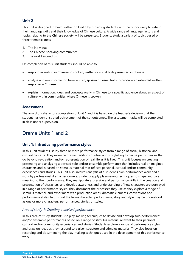### **Unit 2**

This unit is designed to build further on Unit 1 by providing students with the opportunity to extend their language skills and their knowledge of Chinese culture. A wide range of language factors and topics relating to the Chinese society will be presented. Students study a variety of topics based on three thematic areas:

- 1. The individual
- 2. The Chinese-speaking communities
- 3. The world around us

On completion of this unit students should be able to:

- respond in writing in Chinese to spoken, written or visual texts presented in Chinese
- analyse and use information from written, spoken or visual texts to produce an extended written response in Chinese
- explain information, ideas and concepts orally in Chinese to a specific audience about an aspect of culture within communities where Chinese is spoken.

### **Assessment**

The award of satisfactory completion of Unit 1 and 2 is based on the teacher's decision that the student has demonstrated achievement of the set outcomes. The assessment tasks will be completed in class under supervision.

# <span id="page-27-0"></span>Drama Units 1 and 2

### **Unit 1: Introducing performance styles**

In this unit students' study three or more performance styles from a range of social, historical and cultural contexts. They examine drama traditions of ritual and storytelling to devise performances that go beyond re-creation and/or representation of real life as it is lived. This unit focuses on creating, presenting and analysing a devised solo and/or ensemble performance that includes real or imagined characters and is based on stimulus material that reflects personal, cultural and/or community experiences and stories. This unit also involves analysis of a student's own performance work and a work by professional drama performers. Students apply play-making techniques to shape and give meaning to their performance. They manipulate expressive and performance skills in the creation and presentation of characters, and develop awareness and understanding of how characters are portrayed in a range of performance styles. They document the processes they use as they explore a range of stimulus material, and experiment with production areas, dramatic elements, conventions and performance styles. In this unit the terms character, performance, story and style may be understood as one or more characters, performances, stories or styles.

### *Area of study 1: Creating a devised performance*

In this area of study students use play-making techniques to devise and develop solo performances and/or ensemble performances based on a range of stimulus material relevant to their personal, cultural and/or community experiences and stories. Students explore a range of performance styles and draw on ideas as they respond to a given structure and stimulus material. They also focus on recording and documenting the play-making techniques used in the development of this performance work.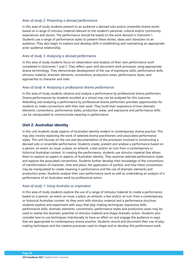### *Area of study 2: Presenting a devised performance*

In this area of study students present to an audience a devised solo and/or ensemble drama works based on a range of stimulus material relevant to the student's personal, cultural and/or community experiences and stories. The performance should be based on the work devised in Outcome 1. Students use a range of performance styles to present these stories, ideas and characters to an audience. They also begin to explore and develop skills in establishing and maintaining an appropriate actor-audience relationship.

### *Area of study 3: Analysing a devised performance*

In this area of study students focus on observation and analysis of their own performance work completed in Outcomes 1 and 2. They reflect upon and document work processes using appropriate drama terminology. They demonstrate development of the use of expressive skills, performance skills, stimulus material, dramatic elements, conventions, production areas, performance styles, and approaches to character and roles.

### *Area of study 4: Analysing a professional drama performance*

In this area of study students observe and analyse a performance by professional drama performers. Drama performances by students enrolled at a school may not be analysed for this outcome. Attending and analysing a performance by professional drama performers provides opportunities for students to make connections with their own work. They build their experience of how dramatic elements, conventions, performance styles, production areas, and expressive and performance skills can be manipulated to communicate meaning in performance.

### **Unit 2: Australian identity**

In this unit students study aspects of Australian identity evident in contemporary drama practice. This may also involve exploring the work of selected drama practitioners and associated performance styles. This unit focuses on the use and documentation of the processes involved in constructing a devised solo or ensemble performance. Students create, present and analyse a performance based on a person, an event, an issue, a place, an artwork, a text and/or an icon from a contemporary or historical Australian context. In creating the performance, students use stimulus material that allows them to explore an aspect or aspects of Australian identity. They examine selected performance styles and explore the associated conventions. Students further develop their knowledge of the conventions of transformation of character, time and place, the application of symbol, and how these conventions may be manipulated to create meaning in performance and the use of dramatic elements and production areas. Students analyse their own performance work as well as undertaking an analysis of a performance of an Australian work by professional actors.

### *Area of study 1: Using Australia as inspiration*

In this area of study students explore the use of a range of stimulus material to create a performance based on a person, an event, an issue, a place, an artwork, a text and/or an icon from a contemporary or historical Australian context. As they work with stimulus material and a performance structure, students explore and experiment with ways that play-making techniques, expressive skills, performance skills, dramatic elements, conventions, performance styles and production areas may be used to realise the dramatic potential of stimulus material and shape dramatic action. Students also consider how to use techniques intentionally to have an effect on and engage the audience in ways that are appropriate to contemporary drama practice. Students record and document their use of playmaking techniques and the creative processes used to shape and to develop this performance work.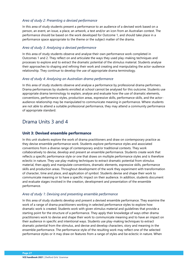### *Area of study 2: Presenting a devised performance*

In this area of study students present a performance to an audience of a devised work based on a person, an event, an issue, a place, an artwork, a text and/or an icon from an Australian context. The performance should be based on the work developed for Outcome 1, and should take place in a performance space appropriate to the theme or the subject matter of the drama.

### *Area of study 3: Analysing a devised performance*

In this area of study students observe and analyse their own performance work completed in Outcomes 1 and 2. They reflect on and articulate the ways they used play-making techniques and processes to explore and to extract the dramatic potential of the stimulus material. Students analyse their approaches to shaping and refining their work and creating and manipulating the actor-audience relationship. They continue to develop the use of appropriate drama terminology.

### *Area of study 4: Analysing an Australian drama performance*

In this area of study students observe and analyse a performance by professional drama performers. Drama performances by students enrolled at school cannot be analysed for this outcome. Students use appropriate drama terminology to explain, analyse and evaluate how the use of dramatic elements, conventions, performance styles, production areas, expressive skills, performance skills, and the actoraudience relationship may be manipulated to communicate meaning in performance. Where students are not able to attend a suitable professional performance, they may attend a community performance of appropriate standard.

### <span id="page-29-0"></span>Drama Units 3 and 4

### **Unit 3: Devised ensemble performance**

In this unit students explore the work of drama practitioners and draw on contemporary practice as they devise ensemble performance work. Students explore performance styles and associated conventions from a diverse range of contemporary and/or traditional contexts. They work collaboratively to devise, develop and present an ensemble performance. Students create work that reflects a specific performance style or one that draws on multiple performance styles and is therefore eclectic in nature. They use play-making techniques to extract dramatic potential from stimulus material, then apply and manipulate conventions, dramatic elements, expressive skills, performance skills and production areas. Throughout development of the work they experiment with transformation of character, time and place, and application of symbol. Students devise and shape their work to communicate meaning or to have a specific impact on their audience. In addition, students document and evaluate stages involved in the creation, development and presentation of the ensemble performance.

### *Area of study 1: Devising and presenting ensemble performance*

In this area of study students develop and present a devised ensemble performance. They examine the work of a range of drama practitioners working in selected performance styles to explore how dramatic work is created. Students work with given stimulus material and guidelines that provide a starting point for the structure of a performance. They apply their knowledge of ways other drama practitioners work to devise and shape their work to communicate meaning and to have an impact on their audience in specific and intentional ways. Students use play-making techniques to extract dramatic potential from the stimulus, and devise and develop characters, story and meaning in the ensemble performance. The performance style of the resulting work may reflect one of the selected performance styles or it may draw on features from a range of styles and be eclectic in nature. When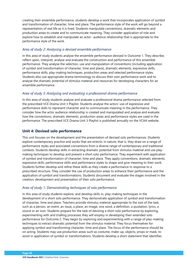creating their ensemble performance, students develop a work that incorporates application of symbol and transformation of character, time and place. The performance style of the work will go beyond a representation of real life as it is lived. Students manipulate conventions, dramatic elements and production areas to create and to communicate meaning. They consider application of role and explore how to establish and manipulate an actor- audience relationship that is appropriate to the performance style of the work.

### *Area of study 2: Analysing a devised ensemble performance*

In this area of study students analyse the ensemble performance devised in Outcome 1. They describe, reflect upon, interpret, analyse and evaluate the construction and performance of this ensemble performance. They analyse the selection, use and manipulation of conventions (including application of symbol and transformation of character, time and place), dramatic elements, expressive skills, performance skills, play-making techniques, production areas and selected performance styles. Students also use appropriate drama terminology to discuss their own performance work and to analyse the dramatic potential of stimulus material and resources for developing characters for an ensemble performance.

### *Area of study 3: Analysing and evaluating a professional drama performance*

In this area of study students analyse and evaluate a professional drama performance selected from the prescribed VCE Drama Unit 3 Playlist. Students analyse the actors' use of expressive and performance skills to represent character and to communicate meaning in the performance. They consider how the actor audience relationship is created and manipulated and analyse and evaluate how the conventions, dramatic elements, production areas and performance styles are used in the performance. The prescribed VCE Drama Unit 3 Playlist is published annually on the VCAA website.

### **Unit 4: Devised solo performance**

This unit focuses on the development and the presentation of devised solo performances. Students explore contemporary practice and works that are eclectic in nature; that is, they draw on a range of performance styles and associated conventions from a diverse range of contemporary and traditional contexts. Students develop skills in extracting dramatic potential from stimulus material and use playmaking techniques to develop and present a short solo performance. They experiment with application of symbol and transformation of character, time and place. They apply conventions, dramatic elements, expressive skills, performance skills and performance styles to shape and give meaning to their work. Students further develop and refine these skills as they create a performance in response to a prescribed structure. They consider the use of production areas to enhance their performance and the application of symbol and transformations. Students document and evaluate the stages involved in the creation, development and presentation of their solo performance.

### *Area of study 1: Demonstrating techniques of solo performance*

In this area of study students explore, and develop skills in, play-making techniques in the development of a short solo performance. They demonstrate application of symbol and transformation of character, time and place. Teachers provide stimulus material appropriate to the size of the task, such as a person, an event, an issue, a place, an image, one word, a definition, a quotation, lyrics, a sound or an icon. Students prepare for the task of devising a short solo performance by exploring, experimenting with and trialling processes they will employ in developing their extended solo performance for Outcome 2. They begin by exploring and experimenting with a range of play-making techniques to extract dramatic potential from the stimulus material. They focus themselves for applying symbol and transforming character, time and place. The focus of the performance should be on acting. Students may use production areas such as costume, make-up, objects, props or mask, to assist in application of symbol or transformations. Students develop a short statement that identifies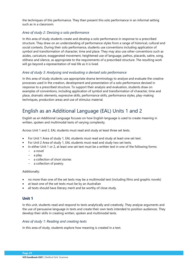the techniques of this performance. They then present this solo performance in an informal setting such as in a classroom.

### *Area of study 2: Devising a solo performance*

In this area of study students create and develop a solo performance in response to a prescribed structure. They draw on an understanding of performance styles from a range of historical, cultural and social contexts. During their solo performance, students use conventions including application of symbol and transformation of character, time and place. They may also use other conventions such as asides, caricature, exaggerated movement, heightened use of language, pathos, placards, satire, song, stillness and silence, as appropriate to the requirements of a prescribed structure. The resulting work will go beyond a representation of real life as it is lived.

### *Area of study 3: Analysing and evaluating a devised solo performance*

In this area of study students use appropriate drama terminology to analyse and evaluate the creative processes used in the creation, development and presentation of a solo performance devised in response to a prescribed structure. To support their analysis and evaluation, students draw on examples of conventions, including application of symbol and transformation of character, time and place, dramatic elements, expressive skills, performance skills, performance styles, play-making techniques, production areas and use of stimulus material.

# <span id="page-31-0"></span>English as an Additional Language (EAL) Units 1 and 2

English as an Additional Language focuses on how English language is used to create meaning in written, spoken and multimodal texts of varying complexity.

Across Unit 1 and 2, EAL students must read and study at least three set texts.

- For Unit 1 Area of study 1, EAL students must read and study at least one set text.
- For Unit 2 Area of study 1, EAL students must read and study two set texts.
- In either Unit 1 or 2, at least one set text must be a written text in one of the following forms:
	- − a novel
	- − a play
	- − a collection of short stories
	- − a collection of poetry.

### Additionally:

- no more than one of the set texts may be a multimodal text (including films and graphic novels)
- at least one of the set texts must be by an Australian
- all texts should have literary merit and be worthy of close study.

### **Unit 1**

In this unit, students read and respond to texts analytically and creatively. They analyse arguments and the use of persuasive language in texts and create their own texts intended to position audiences. They develop their skills in creating written, spoken and multimodal texts.

### *Area of study 1: Reading and creating texts*

In this area of study, students explore how meaning is created in a text.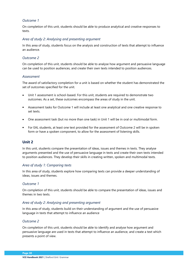### *Outcome 1*

On completion of this unit, students should be able to produce analytical and creative responses to texts.

### *Area of study 2: Analysing and presenting argument*

In this area of study, students focus on the analysis and construction of texts that attempt to influence an audience.

### *Outcome 2*

On completion of this unit, students should be able to analyse how argument and persuasive language can be used to position audiences, and create their own texts intended to position audiences.

#### *Assessment*

The award of satisfactory completion for a unit is based on whether the student has demonstrated the set of outcomes specified for the unit.

- Unit 1 assessment is school-based. For this unit, students are required to demonstrate two outcomes. As a set, these outcomes encompass the areas of study in the unit.
- Assessment tasks for Outcome 1 will include at least one analytical and one creative response to set texts.
- One assessment task (but no more than one task) in Unit 1 will be in oral or multimodal form.
- For EAL students, at least one text provided for the assessment of Outcome 2 will be in spoken form or have a spoken component, to allow for the assessment of listening skills.

### **Unit 2**

In this unit, students compare the presentation of ideas, issues and themes in texts. They analyse arguments presented and the use of persuasive language in texts and create their own texts intended to position audiences. They develop their skills in creating written, spoken and multimodal texts.

### *Area of study 1: Comparing texts*

In this area of study, students explore how comparing texts can provide a deeper understanding of ideas, issues and themes.

### *Outcome 1*

On completion of this unit, students should be able to compare the presentation of ideas, issues and themes in two texts.

### *Area of study 2: Analysing and presenting argument*

In this area of study, students build on their understanding of argument and the use of persuasive language in texts that attempt to influence an audience

### *Outcome 2*

On completion of this unit, students should be able to identify and analyse how argument and persuasive language are used in texts that attempt to influence an audience, and create a text which presents a point of view.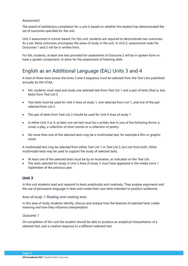### *Assessment*

The award of satisfactory completion for a unit is based on whether the student has demonstrated the set of outcomes specified for the unit.

Unit 2 assessment is school-based: For this unit, students are required to demonstrate two outcomes. As a set, these outcomes encompass the areas of study in the unit. In Unit 2, assessments tasks for Outcomes 1 and 2 will be in written form.

For EAL students, at least one text provided for assessment of Outcome 2 will be in spoken form or have a spoken component, to allow for the assessment of listening skills.

# <span id="page-33-0"></span>English as an Additional Language (EAL) Units 3 and 4

A total of three texts across the Units 3 and 4 sequence must be selected from the Text Lists published annually by the VCAA.

- EAL students must read and study one selected text from Text List 1 and a pair of texts (that is, two texts) from Text List 2.
- Two texts must be used for Unit 3 Area of study 1, one selected from List 1, and one of the pair selected from List 2.
- The pair of texts from Text List 2 should be used for Unit 4 Area of study 1.
- In either Unit 3 or 4, at least one set text must be a written text in one of the following forms: a novel, a play, a collection of short stories or a collection of poetry.
- No more than one of the selected texts may be a multimodal text, for example a film or graphic novel.

A multimodal text may be selected from either Text List 1 or Text List 2, but not from both. Other multimodal texts may be used to support the study of selected texts.

- At least one of the selected texts must be by an Australian, as indicated on the Text List.
- The texts selected for study in Unit 3 Area of study 2 must have appeared in the media since 1 September of the previous year.

### **Unit 3**

In this unit students read and respond to texts analytically and creatively. They analyse arguments and the use of persuasive language in texts and create their own texts intended to position audiences.

### *Area of study 1: Reading and creating texts*

In this area of study students identify, discuss and analyse how the features of selected texts create meaning and how they influence interpretation.

### *Outcome 1*

On completion of this unit the student should be able to produce an analytical interpretation of a selected text, and a creative response to a different selected text.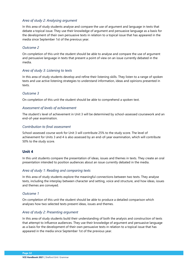### *Area of study 2: Analysing argument*

In this area of study students analyse and compare the use of argument and language in texts that debate a topical issue. They use their knowledge of argument and persuasive language as a basis for the development of their own persuasive texts in relation to a topical issue that has appeared in the media since September 1st of the previous year.

### *Outcome 2*

On completion of this unit the student should be able to analyse and compare the use of argument and persuasive language in texts that present a point of view on an issue currently debated in the media.

### *Area of study 3: Listening to texts*

In this area of study students develop and refine their listening skills. They listen to a range of spoken texts and use active listening strategies to understand information, ideas and opinions presented in texts.

### *Outcome 3*

On completion of this unit the student should be able to comprehend a spoken text.

### *Assessment of levels of achievement*

The student's level of achievement in Unit 3 will be determined by school-assessed coursework and an end-of-year examination.

### *Contribution to final assessment*

School-assessed course work for Unit 3 will contribute 25% to the study score. The level of achievement for Units 3 and 4 is also assessed by an end-of-year examination, which will contribute 50% to the study score.

### **Unit 4**

In this unit students compare the presentation of ideas, issues and themes in texts. They create an oral presentation intended to position audiences about an issue currently debated in the media.

### *Area of study 1: Reading and comparing texts*

In this area of study students explore the meaningful connections between two texts. They analyse texts, including the interplay between character and setting, voice and structure, and how ideas, issues and themes are conveyed.

### *Outcome 1*

On completion of this unit the student should be able to produce a detailed comparison which analyses how two selected texts present ideas, issues and themes.

### *Area of study 2: Presenting argument*

In this area of study students build their understanding of both the analysis and construction of texts that attempt to influence audiences. They use their knowledge of argument and persuasive language as a basis for the development of their own persuasive texts in relation to a topical issue that has appeared in the media since September 1st of the previous year.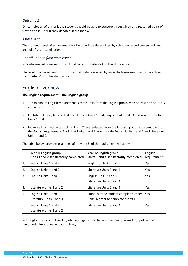### *Outcome 2*

On completion of this unit the student should be able to construct a sustained and reasoned point of view on an issue currently debated in the media.

### *Assessment*

The student's level of achievement for Unit 4 will be determined by school-assessed coursework and an end of-year examination.

### *Contribution to final assessment*

School-assessed coursework for Unit 4 will contribute 25% to the study score.

The level of achievement for Units 3 and 4 is also assessed by an end-of-year examination, which will contribute 50% to the study score.

### <span id="page-35-0"></span>English overview

### **The English requirement – the English group**

- The minimum English requirement is three units from the English group, with at least one at Unit 3 and 4 level.
- English units may be selected from English Units 1 to 4, English (EAL) Units 3 and 4, and Literature Units 1 to 4.
- No more than two units at Units 1 and 2 level selected from the English group may count towards the English requirement. English at Units 1 and 2 level include English Units 1 and 2 and Literature Units 1 and 2.

|    | Year 11 English group<br>Units 1 and 2 satisfactorily completed | Year 12 English group<br>Units 3 and 4 satisfactorily completed                 | English<br>requirement? |
|----|-----------------------------------------------------------------|---------------------------------------------------------------------------------|-------------------------|
| 1. | English Units 1 and 2                                           | English Units 3 and 4                                                           | <b>Yes</b>              |
| 2. | English Units 1 and 2                                           | Literature Units 3 and 4                                                        | Yes                     |
| 3. | English Units 1 and 2                                           | English Units 3 and 4<br>Literature Units 3 and 4                               | Yes.                    |
| 4. | Literature Units 1 and 2                                        | Literature Units 3 and 4                                                        | Yes.                    |
| 5. | English Units 1 and 2<br>Literature Units 3 and 4               | None, but the student completes other Yes<br>units in order to complete the VCE |                         |
| 6. | English Units 1 and 2<br>Literature Units 1 and 2               | Literature Units 3 and 4                                                        | Yes.                    |

VCE English focuses on how English language is used to create meaning in written, spoken and multimodal texts of varying complexity.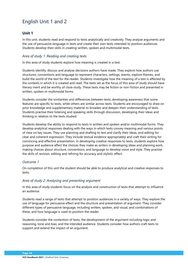# English Unit 1 and 2

# **Unit 1**

In this unit, students read and respond to texts analytically and creatively. They analyse arguments and the use of persuasive language in texts and create their own texts intended to position audiences. Students develop their skills in creating written, spoken and multimodal texts.

## *Area of study 1: Reading and creating texts*

In this area of study students explore how meaning is created in a text.

Students identify, discuss and analyse decisions authors have made. They explore how authors use structures, conventions and language to represent characters, settings, events, explore themes, and build the world of the text for the reader. Students investigate how the meaning of a text is affected by the contexts in which it is created and read. The texts set as the focus of this area of study should have literary merit and be worthy of close study. These texts may be fiction or non-fiction and presented in written, spoken or multimodal forms.

Students consider the similarities and differences between texts, developing awareness that some features are specific to texts, while others are similar across texts. Students are encouraged to draw on prior knowledge and supplementary material to broaden and deepen their understanding of texts. Students practise their listening and speaking skills through discussion, developing their ideas and thinking in relation to the texts studied.

Students develop the ability to respond to texts in written and spoken and/or multimodal forms. They develop analytical responses dealing with the ways in which texts convey meaning and various points of view on key issues. They use planning and drafting to test and clarify their ideas, and editing for clear and coherent expression. They include textual evidence appropriately and craft their writing for convincing and effective presentation. In developing creative responses to texts, students explore how purpose and audience affect the choices they make as writers in developing ideas and planning work, making choices about structure, conventions, and language to develop voice and style. They practise the skills of revision, editing and refining for accuracy and stylistic effect.

## *Outcome 1*

On completion of this unit the student should be able to produce analytical and creative responses to texts.

## *Area of study 2: Analysing and presenting argument*

In this area of study students focus on the analysis and construction of texts that attempt to influence an audience.

Students read a range of texts that attempt to position audiences in a variety of ways. They explore the use of language for persuasive effect and the structure and presentation of argument. They consider different types of persuasive language, including written, spoken, and visual, and combinations of these, and how language is used to position the reader.

Students consider the contention of texts; the development of the argument including logic and reasoning, tone and bias; and the intended audience. Students consider how authors craft texts to support and extend the impact of an argument.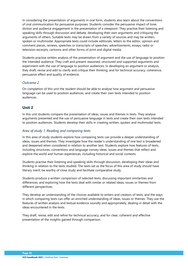In considering the presentation of arguments in oral form, students also learn about the conventions of oral communication for persuasive purposes. Students consider the persuasive impact of tone, diction and audience engagement in the presentation of a viewpoint. They practise their listening and speaking skills through discussion and debate, developing their own arguments and critiquing the arguments of others. Suitable texts may be drawn from a variety of sources and may be written, spoken or multimodal. Appropriate texts could include editorials, letters to the editor, opinion and comment pieces, reviews, speeches or transcripts of speeches, advertisements, essays, radio or television excerpts, cartoons and other forms of print and digital media.

Students practise written analysis of the presentation of argument and the use of language to position the intended audience. They craft and present reasoned, structured and supported arguments and experiment with the use of language to position audiences. In developing an argument or analysis, they draft, revise and edit to clarify and critique their thinking, and for technical accuracy, coherence, persuasive effect and quality of evidence.

## *Outcome 2*

On completion of this unit the student should be able to analyse how argument and persuasive language can be used to position audiences, and create their own texts intended to position audiences.

# **Unit 2**

In this unit students compare the presentation of ideas, issues and themes in texts. They analyse arguments presented and the use of persuasive language in texts and create their own texts intended to position audiences. Students develop their skills in creating written, spoken and multimodal texts

### *Area of study 1: Reading and comparing texts*

In this area of study students explore how comparing texts can provide a deeper understanding of ideas, issues and themes. They investigate how the reader's understanding of one text is broadened and deepened when considered in relation to another text. Students explore how features of texts, including structures, conventions and language convey ideas, issues and themes that reflect and explore the world and human experiences, including historical and social contexts.

Students practise their listening and speaking skills through discussion, developing their ideas and thinking in relation to the texts studied. The texts set as the focus of this area of study should have literary merit, be worthy of close study and facilitate comparative study.

Students produce a written comparison of selected texts, discussing important similarities and differences, and exploring how the texts deal with similar or related ideas, issues or themes from different perspectives.

They develop an understanding of the choices available to writers and creators of texts, and the ways in which comparing texts can offer an enriched understanding of ideas, issues or themes. They use the features of written analysis and textual evidence soundly and appropriately, dealing in detail with the ideas encountered in the texts.

They draft, revise, edit and refine for technical accuracy, and for clear, coherent and effective presentation of the insights gained through comparison.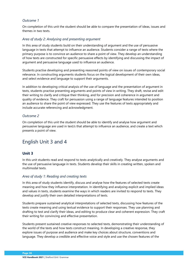On completion of this unit the student should be able to compare the presentation of ideas, issues and themes in two texts.

#### *Area of study 2: Analysing and presenting argument*

In this area of study students build on their understanding of argument and the use of persuasive language in texts that attempt to influence an audience. Students consider a range of texts where the primary purpose is to convince an audience to share a point of view. They develop an understanding of how texts are constructed for specific persuasive effects by identifying and discussing the impact of argument and persuasive language used to influence an audience.

Students practise developing and presenting reasoned points of view on issues of contemporary social relevance. In constructing arguments students focus on the logical development of their own ideas, and select evidence and language to support their arguments.

In addition to developing critical analysis of the use of language and the presentation of argument in texts, students practise presenting arguments and points of view in writing. They draft, revise and edit their writing to clarify and critique their thinking, and for precision and coherence in argument and quality of evidence. They craft for persuasion using a range of language features intended to position an audience to share the point of view expressed. They use the features of texts appropriately and include accurate referencing and acknowledgment.

## *Outcome 2*

On completion of this unit the student should be able to identify and analyse how argument and persuasive language are used in text/s that attempt to influence an audience, and create a text which presents a point of view.

# English Unit 3 and 4

## **Unit 3**

In this unit students read and respond to texts analytically and creatively. They analyse arguments and the use of persuasive language in texts. Students develop their skills in creating written, spoken and multimodal texts.

#### *Area of study 1: Reading and creating texts*

In this area of study students identify, discuss and analyse how the features of selected texts create meaning and how they influence interpretation. In identifying and analysing explicit and implied ideas and values in texts, students examine the ways in which readers are invited to respond to texts. They develop and justify their own detailed interpretations of texts.

Students prepare sustained analytical interpretations of selected texts, discussing how features of the texts create meaning and using textual evidence to support their responses. They use planning and drafting to test and clarify their ideas, and editing to produce clear and coherent expression. They craft their writing for convincing and effective presentation.

Students present sustained creative responses to selected texts, demonstrating their understanding of the world of the texts and how texts construct meaning. In developing a creative response, they explore issues of purpose and audience and make key choices about structure, conventions and language. They develop a credible and effective voice and style and use the chosen features of the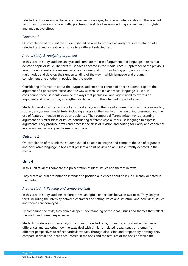selected text, for example characters, narrative or dialogue, to offer an interpretation of the selected text. They produce and share drafts, practising the skills of revision, editing and refining for stylistic and imaginative effect.

## *Outcome 1*

On completion of this unit the student should be able to produce an analytical interpretation of a selected text, and a creative response to a different selected text.

## *Area of study 2: Analysing argument*

In this area of study students analyse and compare the use of argument and language in texts that debate a topic or issue. The texts must have appeared in the media since 1 September of the previous year. Students read and view media texts in a variety of forms, including print, non-print and multimodal, and develop their understanding of the way in which language and argument complement one another in positioning the reader.

Considering information about the purpose, audience and context of a text, students explore the argument of a persuasive piece, and the way written, spoken and visual language is used. In considering these, students examine the ways that persuasive language is used to express an argument and how this may strengthen or detract from the intended impact of a text.

Students develop written and spoken critical analyses of the use of argument and language in written, spoken, and/or multimodal texts, including analysis of the quality of the reasoning presented and the use of features intended to position audiences. They compare different written texts presenting argument on similar ideas or issues, considering different ways authors use language to express arguments. They produce drafts and practise the skills of revision and editing for clarity and coherence in analysis and accuracy in the use of language.

# *Outcome 2*

On completion of this unit the student should be able to analyse and compare the use of argument and persuasive language in texts that present a point of view on an issue currently debated in the media.

# **Unit 4**

In this unit students compare the presentation of ideas, issues and themes in texts.

They create an oral presentation intended to position audiences about an issue currently debated in the media.

## *Area of study 1: Reading and comparing texts*

In this area of study students explore the meaningful connections between two texts. They analyse texts, including the interplay between character and setting, voice and structure, and how ideas, issues and themes are conveyed.

By comparing the texts, they gain a deeper understanding of the ideas, issues and themes that reflect the world and human experiences.

Students produce a written analysis comparing selected texts, discussing important similarities and differences and exploring how the texts deal with similar or related ideas, issues or themes from different perspectives to reflect particular values. Through discussion and preparatory drafting, they compare in detail the ideas encountered in the texts and the features of the texts on which the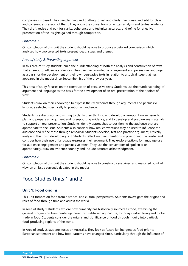comparison is based. They use planning and drafting to test and clarify their ideas, and edit for clear and coherent expression of them. They apply the conventions of written analysis and textual evidence. They draft, revise and edit for clarity, coherence and technical accuracy, and refine for effective presentation of the insights gained through comparison.

## *Outcome 1*

On completion of this unit the student should be able to produce a detailed comparison which analyses how two selected texts present ideas, issues and themes.

### *Area of study 2: Presenting argument*

In this area of study students build their understanding of both the analysis and construction of texts that attempt to influence audiences. They use their knowledge of argument and persuasive language as a basis for the development of their own persuasive texts in relation to a topical issue that has appeared in the media since September 1st of the previous year.

This area of study focuses on the construction of persuasive texts. Students use their understanding of argument and language as the basis for the development of an oral presentation of their points of view.

Students draw on their knowledge to express their viewpoints through arguments and persuasive language selected specifically to position an audience.

Students use discussion and writing to clarify their thinking and develop a viewpoint on an issue, to plan and prepare an argument and its supporting evidence, and to develop and prepare any materials to support an oral presentation. Students identify approaches to positioning the audience that are appropriate to the issue. Students also consider how oral conventions may be used to influence the audience and refine these through rehearsal. Students develop, test and practise argument, critically analysing their own developing text. Students reflect on their intentions in positioning the reader and consider how their use of language expresses their argument. They explore options for language use for audience engagement and persuasive effect. They use the conventions of spoken texts appropriately, draw on evidence soundly and include accurate acknowledgment.

#### *Outcome 2*

On completion of this unit the student should be able to construct a sustained and reasoned point of view on an issue currently debated in the media.

# Food Studies Units 1 and 2

## **Unit 1: Food origins**

This unit focuses on food from historical and cultural perspectives. Students investigate the origins and roles of food through time and across the world.

In Area of study 1 students explore how humanity has historically sourced its food, examining the general progression from hunter-gatherer to rural-based agriculture, to today's urban living and global trade in food. Students consider the origins and significance of food through inquiry into particular food-producing regions of the world.

In Area of study 2, students focus on Australia. They look at Australian indigenous food prior to European settlement and how food patterns have changed since, particularly through the influence of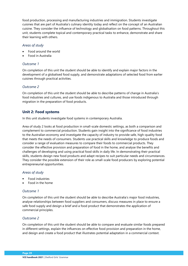food production, processing and manufacturing industries and immigration. Students investigate cuisines that are part of Australia's culinary identity today and reflect on the concept of an Australian cuisine. They consider the influence of technology and globalisation on food patterns. Throughout this unit, students complete topical and contemporary practical tasks to enhance, demonstrate and share their learning with others.

#### *Areas of study*

- Food around the world
- Food in Australia

## *Outcome 1*

On completion of this unit the student should be able to identify and explain major factors in the development of a globalised food supply, and demonstrate adaptations of selected food from earlier cuisines through practical activities.

# *Outcome 2*

On completion of this unit the student should be able to describe patterns of change in Australia's food industries and cultures, and use foods indigenous to Australia and those introduced through migration in the preparation of food products.

# **Unit 2: Food systems**

In this unit students investigate food systems in contemporary Australia.

Area of study 2 looks at food production in small-scale domestic settings, as both a comparison and complement to commercial production. Students gain insight into the significance of food industries to the Australian economy and investigate the capacity of industry to provide safe, high-quality food that meets the needs of consumers. Students use practical skills and knowledge to produce foods and consider a range of evaluation measures to compare their foods to commercial products. They consider the effective provision and preparation of food in the home, and analyse the benefits and challenges of developing and using practical food skills in daily life. In demonstrating their practical skills, students design new food products and adapt recipes to suit particular needs and circumstances. They consider the possible extension of their role as small-scale food producers by exploring potential entrepreneurial opportunities.

## *Areas of study*

- Food industries
- Food in the home

## *Outcome 1*

On completion of this unit the student should be able to describe Australia's major food industries, analyse relationships between food suppliers and consumers, discuss measures in place to ensure a safe food supply and design a brief and a food product that demonstrates the application of commercial principles.

## *Outcome 2*

On completion of this unit the student should be able to compare and evaluate similar foods prepared in different settings, explain the influences on effective food provision and preparation in the home, and design and create a food product that illustrates potential adaptation in a commercial context.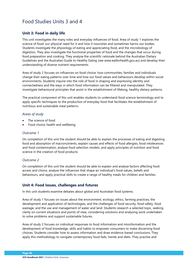# Food Studies Units 3 and 4

# **Unit 3: Food in daily life**

This unit investigates the many roles and everyday influences of food. Area of study 1 explores the science of food: our physical need for it and how it nourishes and sometimes harms our bodies. Students investigate the physiology of eating and appreciating food, and the microbiology of digestion. They also investigate the functional properties of food and the changes that occur during food preparation and cooking. They analyse the scientific rationale behind the Australian Dietary Guidelines and the Australian Guide to Healthy Eating (see www.eatforhealth.gov.au) and develop their understanding of diverse nutrient requirements.

Area of study 2 focuses on influences on food choice: how communities, families and individuals change their eating patterns over time and how our food values and behaviours develop within social environments. Students inquire into the role of food in shaping and expressing identity and connectedness and the ways in which food information can be filtered and manipulated. They investigate behavioural principles that assist in the establishment of lifelong, healthy dietary patterns.

The practical component of this unit enables students to understand food science terminology and to apply specific techniques to the production of everyday food that facilitates the establishment of nutritious and sustainable meal patterns.

### *Areas of study*

- The science of food
- Food choice, health and wellbeing

### *Outcome 1*

On completion of this unit the student should be able to explain the processes of eating and digesting food and absorption of macronutrients, explain causes and effects of food allergies, food intolerances and food contamination, analyse food selection models, and apply principles of nutrition and food science in the creation of food products.

## *Outcome 2*

On completion of this unit the student should be able to explain and analyse factors affecting food access and choice, analyse the influences that shape an individual's food values, beliefs and behaviours, and apply practical skills to create a range of healthy meals for children and families.

## **Unit 4: Food Issues, challenges and futures**

In this unit students examine debates about global and Australian food systems.

Area of study 1 focuses on issues about the environment, ecology, ethics, farming practices, the development and application of technologies, and the challenges of food security, food safety, food wastage, and the use and management of water and land. Students research a selected topic, seeking clarity on current situations and points of view, considering solutions and analysing work undertaken to solve problems and support sustainable futures.

Area of study 2 focuses on individual responses to food information and misinformation and the development of food knowledge, skills and habits to empower consumers to make discerning food choices. Students consider how to assess information and draw evidence-based conclusions. They apply this methodology to navigate contemporary food fads, trends and diets. They practise and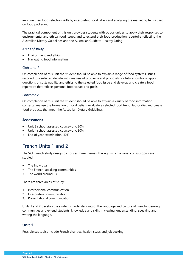improve their food selection skills by interpreting food labels and analysing the marketing terms used on food packaging.

The practical component of this unit provides students with opportunities to apply their responses to environmental and ethical food issues, and to extend their food production repertoire reflecting the Australian Dietary Guidelines and the Australian Guide to Healthy Eating.

## *Areas of study*

- Environment and ethics
- Navigating food information

## *Outcome 1*

On completion of this unit the student should be able to explain a range of food systems issues, respond to a selected debate with analysis of problems and proposals for future solutions, apply questions of sustainability and ethics to the selected food issue and develop and create a food repertoire that reflects personal food values and goals.

## *Outcome 2*

On completion of this unit the student should be able to explain a variety of food information contexts, analyse the formation of food beliefs, evaluate a selected food trend, fad or diet and create food products that meet the Australian Dietary Guidelines.

# **Assessment**

- Unit 3 school assessed coursework: 30%
- Unit 4 school assessed coursework: 30%
- End of year examination: 40%

# French Units 1 and 2

The VCE French study design comprises three themes, through which a variety of subtopics are studied:

- The Individual
- The French-speaking communities
- The world around us

There are three areas of study:

- 1. Interpersonal communication
- 2. Interpretive communication
- 3. Presentational communication

Units 1 and 2 develop the students' understanding of the language and culture of French-speaking communities and extend students' knowledge and skills in viewing, understanding, speaking and writing the language.

# **Unit 1**

Possible subtopics include French charities, health issues and job seeking.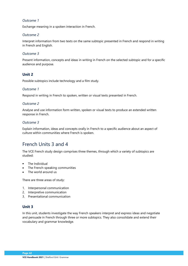Exchange meaning in a spoken interaction in French.

## *Outcome 2*

Interpret information from two texts on the same subtopic presented in French and respond in writing in French and English.

# *Outcome 3*

Present information, concepts and ideas in writing in French on the selected subtopic and for a specific audience and purpose.

# **Unit 2**

Possible subtopics include technology and a film study.

## *Outcome 1*

Respond in writing in French to spoken, written or visual texts presented in French.

# *Outcome 2*

Analyse and use information form written, spoken or visual texts to produce an extended written response in French.

## *Outcome 3*

Explain information, ideas and concepts orally in French to a specific audience about an aspect of culture within communities where French is spoken.

# French Units 3 and 4

The VCE French study design comprises three themes, through which a variety of subtopics are studied:

- The Individual
- The French-speaking communities
- The world around us

There are three areas of study:

- 1. Interpersonal communication
- 2. Interpretive communication
- 3. Presentational communication

# **Unit 3**

In this unit, students investigate the way French speakers interpret and express ideas and negotiate and persuade in French through three or more subtopics. They also consolidate and extend their vocabulary and grammar knowledge.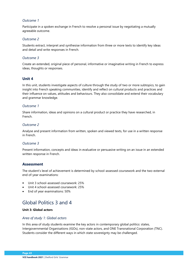Participate in a spoken exchange in French to resolve a personal issue by negotiating a mutually agreeable outcome.

### *Outcome 2*

Students extract, interpret and synthesise information from three or more texts to identify key ideas and detail and write responses in French.

## *Outcome 3*

Create an extended, original piece of personal, informative or imaginative writing in French to express ideas, thoughts or responses.

# **Unit 4**

In this unit, students investigate aspects of culture through the study of two or more subtopics, to gain insight into French speaking communities, identify and reflect on cultural products and practices and their influence on values, attitudes and behaviours. They also consolidate and extend their vocabulary and grammar knowledge.

### *Outcome 1*

Share information, ideas and opinions on a cultural product or practice they have researched, in French.

## *Outcome 2*

Analyse and present information from written, spoken and viewed texts, for use in a written response in French.

## *Outcome 3*

Present information, concepts and ideas in evaluative or persuasive writing on an issue in an extended written response in French.

## **Assessment**

The student's level of achievement is determined by school-assessed coursework and the two-external end of-year examinations:

- Unit 3 school-assessed coursework: 25%
- Unit 4 school-assessed coursework: 25%
- End of year examinations: 50%

# Global Politics 3 and 4

## **Unit 3: Global actors**

## *Area of study 1: Global actors*

In this area of study students examine the key actors in contemporary global politics: states, Intergovernmental Organisations (IGOs), non-state actors, and ONE Transnational Corporation (TNC). Students consider the different ways in which state sovereignty may be challenged.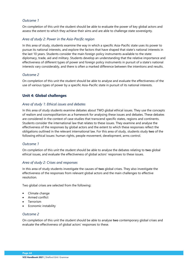On completion of this unit the student should be able to evaluate the power of key global actors and assess the extent to which they achieve their aims and are able to challenge state sovereignty.

#### *Area of study 2: Power in the Asia-Pacific region*

In this area of study, students examine the way in which a specific Asia-Pacific state uses its power to pursue its national interests, and explore the factors that have shaped that state's national interests in the last 10 years. Students consider the main foreign policy instruments available to the state: diplomacy, trade, aid and military. Students develop an understanding that the relative importance and effectiveness of different types of power and foreign policy instruments in pursuit of a state's national interests vary considerably, and there is often a marked difference between the intentions and results.

## *Outcome 2*

On completion of this unit the student should be able to analyse and evaluate the effectiveness of the use of various types of power by a specific Asia-Pacific state in pursuit of its national interests.

# **Unit 4: Global challenges**

#### *Area of study 1: Ethical issues and debates*

In this area of study students examine debates about TWO global ethical issues. They use the concepts of realism and cosmopolitanism as a framework for analysing these issues and debates. These debates are considered in the context of case studies that transcend specific states, regions and continents. Students consider the international law that relates to these issues. They examine and analyse the effectiveness of the responses by global actors and the extent to which these responses reflect the obligations outlined in the relevant international law. For this area of study, students study **two** of the following ethical issues: human rights, people movement, development, arms control.

#### *Outcome 1*

On completion of this unit the student should be able to analyse the debates relating to **two** global ethical issues, and evaluate the effectiveness of global actors' responses to these issues.

#### *Area of study 2: Crises and responses*

In this area of study students investigate the causes of **two** global crises. They also investigate the effectiveness of the responses from relevant global actors and the main challenges to effective resolution.

Two global crises are selected from the following:

- Climate change
- Armed conflict
- Terrorism
- Economic instability

## *Outcome 2*

On completion of this unit the student should be able to analyse **two** contemporary global crises and evaluate the effectiveness of global actors' responses to these.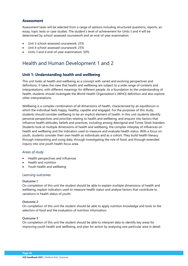# **Assessment**

Assessment tasks will be selected from a range of options including structured questions, reports, an essay, topic tests or case studies. The student's level of achievement for Units 3 and 4 will be determined by school-assessed coursework and an end-of-year examination.

- Unit 3 school-assessed coursework: 25%
- Unit 4 school-assessed coursework: 25%
- Units 3 and 4 end-of-year examination: 50%

# Health and Human Development 1 and 2

# **Unit 1: Understanding health and wellbeing**

This unit looks at health and wellbeing as a concept with varied and evolving perspectives and definitions. It takes the view that health and wellbeing are subject to a wide range of contexts and interpretations, with different meanings for different people. As a foundation to the understanding of health, students should investigate the World Health Organization's (WHO) definition and also explore other interpretations.

Wellbeing is a complex combination of all dimensions of health, characterised by an equilibrium in which the individual feels happy, healthy, capable and engaged. For the purposes of this study, students should consider wellbeing to be an implicit element of health. In this unit students identify personal perspectives and priorities relating to health and wellbeing, and enquire into factors that influence health attitudes, beliefs and practices, including among Aboriginal and Torres Strait Islanders. Students look at multiple dimensions of health and wellbeing, the complex interplay of influences on health and wellbeing and the indicators used to measure and evaluate health status. With a focus on youth, students consider their own health as individuals and as a cohort. They build health literacy through interpreting and using data, through investigating the role of food, and through extended inquiry into one youth health focus area.

#### *Areas of study*

- Health perspectives and influences
- Health and nutrition
- Youth health and wellbeing

#### *Learning outcomes*

#### **Outcome 1**

On completion of this unit the student should be able to explain multiple dimensions of health and wellbeing, explain indicators used to measure health status and analyse factors that contribute to variations in health status of youth.

#### **Outcome 2**

On completion of this unit the student should be able to apply nutrition knowledge and tools to the selection of food and the evaluation of nutrition information.

#### **Outcome 3**

On completion of this unit the student should be able to interpret data to identify key areas for improving youth health and wellbeing, and plan for action by analysing one particular area in detail.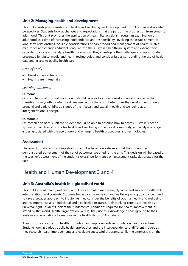# **Unit 2: Managing health and development**

This unit investigates transitions in health and wellbeing, and development, from lifespan and societal perspectives. Students look at changes and expectations that are part of the progression from youth to adulthood. This unit promotes the application of health literacy skills through an examination of adulthood as a time of increasing independence and responsibility, involving the establishment of long-term relationships, possible considerations of parenthood and management of health-related milestones and changes. Students enquire into the Australian healthcare system and extend their capacity to access and analyse health information. They investigate the challenges and opportunities presented by digital media and health technologies, and consider issues surrounding the use of health data and access to quality health care.

## *Area of study*

- Developmental transition
- Health care in Australia

#### *Learning outcomes*

#### **Outcome 1**

On completion of this unit the student should be able to explain developmental changes in the transition from youth to adulthood, analyse factors that contribute to healthy development during prenatal and early childhood stages of the lifespan and explain health and wellbeing as an intergenerational concept.

#### **Outcome 2**

On completion of this unit the student should be able to describe how to access Australia's health system, explain how it promotes health and wellbeing in their local community, and analyse a range of issues associated with the use of new and emerging health procedures and technologies.

## **Assessment**

The award of satisfactory completion for a unit is based on a decision that the student has demonstrated achievement of the set of outcomes specified for the unit. This decision will be based on the teacher's assessment of the student's overall performance on assessment tasks designated for the unit.

# Health and Human Development 3 and 4

# **Unit 3: Australia's health in a globalised world**

This unit looks at health, wellbeing and illness as multidimensional, dynamic and subject to different interpretations and contexts. Students begin to explore health and wellbeing as a global concept and to take a broader approach to inquiry. As they consider the benefits of optimal health and wellbeing and its importance as an individual and a collective resource, their thinking extends to health as a universal right. Students look at the fundamental conditions required for health improvement, as stated by the World Health Organization (WHO). They use this knowledge as background to their analysis and evaluation of variations in the health status of Australians.

Area of study 2 focuses on health promotion and improvements in population health over time. Students look at various public health approaches and the interdependence of different models as they research health improvements and evaluate successful programs. While the emphasis is on the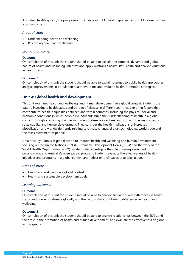Australian health system, the progression of change in public health approaches should be seen within a global context.

### *Areas of study*

- Understanding health and wellbeing
- Promoting health and wellbeing

### *Learning outcomes*

#### **Outcome 1**

On completion of this unit the student should be able to explain the complex, dynamic and global nature of health and wellbeing, interpret and apply Australia's health status data and analyse variations in health status.

### **Outcome 2**

On completion of this unit the student should be able to explain changes to public health approaches, analyse improvements in population health over time and evaluate health promotion strategies.

# **Unit 4: Global health and development**

This unit examines health and wellbeing, and human development in a global context. Students use data to investigate health status and burden of disease in different countries, exploring factors that contribute to health inequalities between and within countries, including the physical, social and economic conditions in which people live. Students build their understanding of health in a global context through examining changes in burden of disease over time and studying the key concepts of sustainability and human development. They consider the health implications of increased globalisation and worldwide trends relating to climate change, digital technologies, world trade and the mass movement of people.

Area of study 2 looks at global action to improve health and wellbeing and human development, focusing on the United Nations' (UN's) Sustainable Development Goals (SDGs) and the work of the World Health Organization (WHO). Students also investigate the role of non-government organisations and Australia's overseas aid program. Students evaluate the effectiveness of health initiatives and programs in a global context and reflect on their capacity to take action.

## *Areas of study*

- Health and wellbeing in a global context
- Health and sustainable development goals

#### *Learning outcomes*

#### **Outcome 1**

On completion of this unit the student should be able to analyse similarities and differences in health status and burden of disease globally and the factors that contribute to differences in health and wellbeing.

#### **Outcome 2**

On completion of this unit the student should be able to analyse relationships between the SDGs and their role in the promotion of health and human development, and evaluate the effectiveness of global aid programs.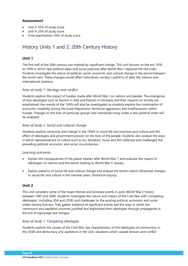# **Assessment**

- Unit 3: 25% of study score
- Unit 4: 25% of study score
- Final examination: 50% of study score

# History Units 1 and 2: 20th Century History

# **Unit 1**

The first half of the 20th century was marked by significant change. This unit focuses on the era 1918 to 1939 in which new political ideas and social practices after World War I replaced the old order. Students investigate the nature of political, social, economic and cultural change in the period between the world wars. These changes would affect individuals, society's patterns of daily life, nations and international relations.

# *Area of study 1: Ideology and conflict*

Students explore the impact of treaties made after World War I on nations and people. The emergence of new ideologies such as fascism in Italy and Nazism in Germany and their impacts on society are emphasised. Key events of the 1930s will also be investigated as students explore the combination of economic instability during the Great Depression, territorial aggression and totalitarianism within Europe. Changes to the lives of particular groups and individuals living under a new political order will be analysed.

# *Area of study 2: Social and cultural change*

Students explore continuity and change in the 1930s in social life and practices and culture and the effect of ideologies and government policies on the lives of the people. Students also analyse the ways in which representations of culture such as art, literature, music and film reflected and challenged the prevailing political, economic and social circumstances.

## *Learning outcomes*

- Explain the consequences of the peace treaties after World War 1 and evaluate the impact of ideologies on nations and the events leading to World War II. (essay)
- Explain patterns of social life and cultural change and analyse the factors which influenced changes to social life and culture in the interwar years. (historical inquiry)

# **Unit 2**

This unit considers some of the major themes and principal events in post-World War 2 history between 1945 and 2000. Students investigate the nature and impact of the Cold War with 'competing ideologies', including USA and USSR, and challenges to the existing political, economic and social orders during that era. They gather evidence of significant events and the ways in which the communist and capitalist countries justified and legitimised their ideologies through propaganda in this era of espionage and intrigue.

## *Area of study 1: Competing ideologies*

Students explore the causes of the Cold War, key characteristics of the ideologies of communism in the USSR and democracy and capitalism in the USA, situations which caused tension and conflict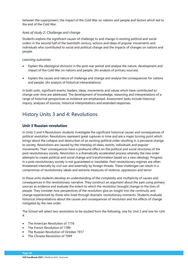between the superpowers, the impact of the Cold War on nations and people and factors which led to the end of the Cold War.

# *Area of study 2: Challenge and change*

Students explore the significant causes of challenge to and change in existing political and social orders in the second half of the twentieth century, actions and ideas of popular movements and individuals who contributed to social and political change and the impacts of changes on nations and people.

### *Learning outcomes*

- Explain the ideological divisions in the post-war period and analyse the nature, development and impact of the Cold War on nations and people. (An analysis of primary sources)
- Explain the causes and nature of challenge and change and analyse the consequences for nations and people. (An analysis of historical interpretations)

In both units, significant events, leaders, ideas, movements and values which have contributed to change over time are addressed. The development of knowledge, reasoning and interpretations of a range of historical perspectives as evidence are emphasised. Assessment tasks include historical inquiry, analyses of sources, historical interpretations and extended responses.

# History Units 3 and 4: Revolutions

# **Unit 3 Russian revolution**

In Units 3 and 4 Revolutions students investigate the significant historical causes and consequences of political revolution. Revolutions represent great ruptures in time and are a major turning point which brings about the collapse and destruction of an existing political order resulting in a pervasive change to society. Revolutions are caused by the interplay of ideas, events, individuals and popular movements. Their consequences have a profound effect on the political and social structures of the post-revolutionary society. Revolution is a dramatically accelerated process whereby the new order attempts to create political and social change and transformation based on a new ideology. Progress in a post-revolutionary society is not guaranteed or inevitable. Post-revolutionary regimes are often threatened internally by civil war and externally by foreign threats. These challenges can result in a compromise of revolutionary ideals and extreme measures of violence, oppression and terror.

In these units students develop an understanding of the complexity and multiplicity of causes and consequences in the revolutionary narrative. They construct an argument about the past using primary sources as evidence and evaluate the extent to which the revolution brought change to the lives of people. They consider how perspectives of the revolution give an insight into the continuity and change experienced by those who lived through dramatic revolutionary moments. Students evaluate historical interpretations about the causes and consequences of revolution and the effects of change instigated by the new order.

The School will select two revolutions to be studied from the following, one for Unit 3 and one for Unit  $\mathbf{\Lambda}$ 

- The American Revolution of 1776
- The French Revolution of 1789
- The Russian Revolution of October 1917
- The Chinese Revolution of 1949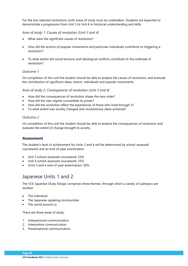For the two selected revolutions, both areas of study must be undertaken. Students are expected to demonstrate a progression from Unit 3 to Unit 4 in historical understanding and skills.

# *Area of study 1: Causes of revolution (Unit 3 and 4)*

- What were the significant causes of revolution?
- How did the actions of popular movements and particular individuals contribute to triggering a revolution?
- To what extent did social tensions and ideological conflicts contribute to the outbreak of revolution?

## *Outcome 1*

On completion of this unit the student should be able to analyse the causes of revolution, and evaluate the contribution of significant ideas, events, individuals and popular movements.

# *Area of study 2: Consequences of revolution (Unit 3 and 4)*

- How did the consequences of revolution shape the new order?
- How did the new regime consolidate its power?
- How did the revolution affect the experiences of those who lived through it?
- To what extent was society changed and revolutionary ideas achieved?

# *Outcome 2*

On completion of this unit the student should be able to analyse the consequences of revolution and evaluate the extent of change brought to society.

# **Assessment**

The student's level of achievement for Units 3 and 4 will be determined by school-assessed coursework and an end-of-year examination.

- Unit 3 school-assessed coursework: 25%
- Unit 4 school-assessed coursework: 25%
- Units 3 and 4 end-of-year examination: 50%

# Japanese Units 1 and 2

The VCE Japanese Study Design comprises three themes, through which a variety of subtopics are studied:

- The individual
- The Japanese-speaking communities
- The world around us

There are three areas of study:

- 1. Interpersonal communication
- 2. Interpretive communication
- 3. Presentational communication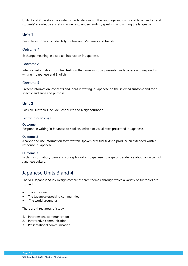Units 1 and 2 develop the students' understanding of the language and culture of Japan and extend students' knowledge and skills in viewing, understanding, speaking and writing the language.

# **Unit 1**

Possible subtopics include Daily routine and My family and friends.

### *Outcome 1*

Exchange meaning in a spoken interaction in Japanese.

## *Outcome 2*

Interpret information from two texts on the same subtopic presented in Japanese and respond in writing in Japanese and English

### *Outcome 3*

Present information, concepts and ideas in writing in Japanese on the selected subtopic and for a specific audience and purpose.

# **Unit 2**

Possible subtopics include School life and Neighbourhood.

#### *Learning outcomes*

#### **Outcome 1**

Respond in writing in Japanese to spoken, written or visual texts presented in Japanese.

#### **Outcome 2**

Analyse and use information form written, spoken or visual texts to produce an extended written response in Japanese.

#### **Outcome 3**

Explain information, ideas and concepts orally in Japanese, to a specific audience about an aspect of Japanese culture.

# Japanese Units 3 and 4

The VCE Japanese Study Design comprises three themes, through which a variety of subtopics are studied:

- The individual
- The Japanese-speaking communities
- The world around us

#### There are three areas of study:

- 1. Interpersonal communication
- 2. Interpretive communication
- 3. Presentational communication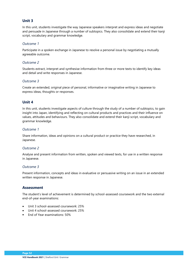# **Unit 3**

In this unit, students investigate the way Japanese speakers interpret and express ideas and negotiate and persuade in Japanese through a number of subtopics. They also consolidate and extend their kanji script, vocabulary and grammar knowledge.

### *Outcome 1*

Participate in a spoken exchange in Japanese to resolve a personal issue by negotiating a mutually agreeable outcome.

### *Outcome 2*

Students extract, interpret and synthesise information from three or more texts to identify key ideas and detail and write responses in Japanese.

## *Outcome 3*

Create an extended, original piece of personal, informative or imaginative writing in Japanese to express ideas, thoughts or responses.

# **Unit 4**

In this unit, students investigate aspects of culture through the study of a number of subtopics, to gain insight into Japan, identifying and reflecting on cultural products and practices and their influence on values, attitudes and behaviours. They also consolidate and extend their kanji script, vocabulary and grammar knowledge.

### *Outcome 1*

Share information, ideas and opinions on a cultural product or practice they have researched, in Japanese.

## *Outcome 2*

Analyse and present information from written, spoken and viewed texts, for use in a written response in Japanese.

#### *Outcome 3*

Present information, concepts and ideas in evaluative or persuasive writing on an issue in an extended written response in Japanese.

## **Assessment**

The student's level of achievement is determined by school-assessed coursework and the two external end-of-year examinations:

- Unit 3 school-assessed coursework: 25%
- Unit 4 school-assessed coursework: 25%
- End of Year examinations: 50%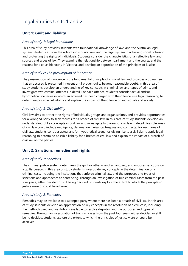# Legal Studies Units 1 and 2

# **Unit 1: Guilt and liability**

### *Area of study 1: Legal foundations*

This area of study provides students with foundational knowledge of laws and the Australian legal system. Students explore the role of individuals, laws and the legal system in achieving social cohesion and protecting the rights of individuals. Students consider the characteristics of an effective law, and sources and types of law. They examine the relationship between parliament and the courts, and the reasons for a court hierarchy in Victoria, and develop an appreciation of the principles of justice.

### *Area of study 2: The presumption of innocence*

The presumption of innocence is the fundamental principle of criminal law and provides a guarantee that an accused is presumed innocent until proven guilty beyond reasonable doubt. In this area of study students develop an understanding of key concepts in criminal law and types of crime, and investigate two criminal offences in detail. For each offence, students consider actual and/or hypothetical scenarios in which an accused has been charged with the offence, use legal reasoning to determine possible culpability and explain the impact of the offence on individuals and society.

## *Area of study 3: Civil liability*

Civil law aims to protect the rights of individuals, groups and organisations, and provides opportunities for a wronged party to seek redress for a breach of civil law. In this area of study students develop an understanding of key concepts in civil law and investigate two areas of civil law in detail. Possible areas of civil law could include negligence, defamation, nuisance, trespass and contracts. For each area of civil law, students consider actual and/or hypothetical scenarios giving rise to a civil claim, apply legal reasoning to determine possible liability for a breach of civil law and explain the impact of a breach of civil law on the parties.

# **Unit 2: Sanctions, remedies and rights**

#### *Area of study 1: Sanctions*

The criminal justice system determines the guilt or otherwise of an accused, and imposes sanctions on a guilty person. In this area of study students investigate key concepts in the determination of a criminal case, including the institutions that enforce criminal law, and the purposes and types of sanctions and approaches to sentencing. Through an investigation of two criminal cases from the past four years, either decided or still being decided, students explore the extent to which the principles of justice were or could be achieved.

#### *Area of study 2: Remedies*

Remedies may be available to a wronged party where there has been a breach of civil law. In this area of study students develop an appreciation of key concepts in the resolution of a civil case, including the methods used and institutions available to resolve disputes, and the purposes and types of remedies. Through an investigation of two civil cases from the past four years, either decided or still being decided, students explore the extent to which the principles of justice were or could be achieved.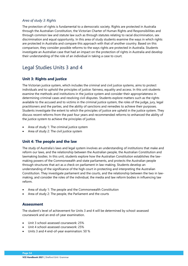## *Area of study 3: Rights*

The protection of rights is fundamental to a democratic society. Rights are protected in Australia through the Australian Constitution, the Victorian Charter of Human Rights and Responsibilities and through common law and statute law such as through statutes relating to racial discrimination, sex discrimination and equal opportunity. In this area of study students examine the ways in which rights are protected in Australia and compare this approach with that of another country. Based on this comparison, they consider possible reforms to the ways rights are protected in Australia. Students investigate an Australian case that had an impact on the protection of rights in Australia and develop their understanding of the role of an individual in taking a case to court.

# Legal Studies Units 3 and 4

# **Unit 3: Rights and justice**

The Victorian justice system, which includes the criminal and civil justice systems, aims to protect individuals and to uphold the principles of justice: fairness, equality and access. In this unit students examine the methods and institutions in the justice system and consider their appropriateness in determining criminal cases and resolving civil disputes. Students explore matters such as the rights available to the accused and to victims in the criminal justice system, the roles of the judge, jury, legal practitioners and the parties, and the ability of sanctions and remedies to achieve their purposes. Students investigate the extent to which the principles of justice are upheld in the justice system. They discuss recent reforms from the past four years and recommended reforms to enhanced the ability of the justice system to achieve the principles of justice.

- Area of study 1: The criminal justice system
- Area of study 2: The civil justice system

# **Unit 4: The people and the law**

The study of Australia's laws and legal system involves an understanding of institutions that make and reform our laws, and the relationship between the Australian people, the Australian Constitution and lawmaking bodies. In this unit, students explore how the Australian Constitution establishes the lawmaking powers of the Commonwealth and state parliaments, and protects the Australian people through structures that act as a check on parliament in law-making. Students develop an understanding of the significance of the high court in protecting and interpreting the Australian Constitution. They investigate parliament and the courts, and the relationship between the two in lawmaking, and consider the roles of the individual, the media and law reform bodies in influencing law reform.

- Area of study 1: The people and the Commonwealth Constitution
- Area of study 2: The people, the Parliament and the courts

# **Assessment**

The student's level of achievement for Units 3 and 4 will be determined by school-assessed coursework and an end-of-year examination.

- Unit 3 school-assessed coursework: 25%
- Unit 4 school-assessed coursework: 25%
- Units 3 and 4 end-of-year examination: 50 %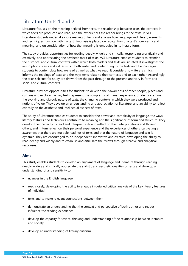# Literature Units 1 and 2

Literature focuses on the meaning derived from texts, the relationship between texts, the contexts in which texts are produced and read, and the experiences the reader brings to the texts. In VCE Literature students undertake close reading of texts and analyse how language and literary elements and techniques function within a text. Emphasis is placed on recognition of a text's complexity and meaning, and on consideration of how that meaning is embodied in its literary form.

The study provides opportunities for reading deeply, widely and critically, responding analytically and creatively, and appreciating the aesthetic merit of texts. VCE Literature enables students to examine the historical and cultural contexts within which both readers and texts are situated. It investigates the assumptions, views and values which both writer and reader bring to the texts and it encourages students to contemplate how we read as well as what we read. It considers how literary criticism informs the readings of texts and the ways texts relate to their contexts and to each other. Accordingly, the texts selected for study are drawn from the past through to the present, and vary in form and social and cultural contexts.

Literature provides opportunities for students to develop their awareness of other people, places and cultures and explore the way texts represent the complexity of human experience. Students examine the evolving and dialogic nature of texts, the changing contexts in which they were produced and notions of value. They develop an understanding and appreciation of literature, and an ability to reflect critically on the aesthetic and intellectual aspects of texts.

The study of Literature enables students to consider the power and complexity of language, the ways literary features and techniques contribute to meaning and the significance of form and structure. They develop their capacity to read and interpret texts and reflect on their interpretations and those of others, and in turn reflect on their personal experience and the experiences of others, cultivating an awareness that there are multiple readings of texts and that the nature of language and text is dynamic. They are encouraged to be independent, innovative and creative, developing the ability to read deeply and widely and to establish and articulate their views through creative and analytical responses.

# **Aims**

This study enables students to develop an enjoyment of language and literature through reading deeply, widely and critically appreciate the stylistic and aesthetic qualities of texts and develop an understanding of and sensitivity to:

- nuances in the English language
- read closely, developing the ability to engage in detailed critical analysis of the key literary features of individual
- texts and to make relevant connections between them
- demonstrate an understanding that the context and perspective of both author and reader influence the reading experience
- develop the capacity for critical thinking and understanding of the relationship between literature and society
- develop an understanding of literary criticism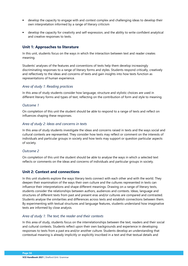- develop the capacity to engage with and contest complex and challenging ideas to develop their own interpretation informed by a range of literary criticism
- develop the capacity for creativity and self-expression, and the ability to write confident analytical and creative responses to texts.

# **Unit 1: Approaches to literature**

In this unit, students focus on the ways in which the interaction between text and reader creates meaning.

Students' analyses of the features and conventions of texts help them develop increasingly discriminating responses to a range of literary forms and styles. Students respond critically, creatively and reflectively to the ideas and concerns of texts and gain insights into how texts function as representations of human experience.

### *Area of study 1: Reading practices*

In this area of study students consider how language, structure and stylistic choices are used in different literary forms and types of text, reflecting on the contribution of form and style to meaning.

### *Outcome 1*

On completion of this unit the student should be able to respond to a range of texts and reflect on influences shaping these responses.

### *Area of study 2: Ideas and concerns in texts*

In this area of study students investigate the ideas and concerns raised in texts and the ways social and cultural contexts are represented. They consider how texts may reflect or comment on the interests of individuals and particular groups in society and how texts may support or question particular aspects of society.

#### *Outcome 2*

On completion of this unit the student should be able to analyse the ways in which a selected text reflects or comments on the ideas and concerns of individuals and particular groups in society.

# **Unit 2: Context and connections**

In this unit students explore the ways literary texts connect with each other and with the world. They deepen their examination of the ways their own culture and the cultures represented in texts can influence their interpretations and shape different meanings. Drawing on a range of literary texts, students consider the relationships between authors, audiences and contexts. Ideas, language and structures of different texts from past and present eras and/or cultures are compared and contrasted. Students analyse the similarities and differences across texts and establish connections between them. By experimenting with textual structures and language features, students understand how imaginative texts are informed by close analysis.

#### *Area of study 1: The text, the reader and their contexts*

In this area of study, students focus on the interrelationships between the text, readers and their social and cultural contexts. Students reflect upon their own backgrounds and experience in developing responses to texts from a past era and/or another culture. Students develop an understanding that contextual meaning is already implicitly or explicitly inscribed in a text and that textual details and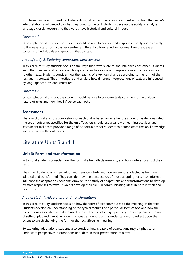structures can be scrutinised to illustrate its significance. They examine and reflect on how the reader's interpretation is influenced by what they bring to the text. Students develop the ability to analyse language closely, recognising that words have historical and cultural import.

### *Outcome 1*

On completion of this unit the student should be able to analyse and respond critically and creatively to the ways a text from a past era and/or a different culture reflect or comment on the ideas and concerns of individuals and groups in that context.

### *Area of study 2: Exploring connections between texts*

In this area of study students focus on the ways that texts relate to and influence each other. Students learn that meanings of texts are evolving and open to a range of interpretations and change in relation to other texts. Students consider how the reading of a text can change according to the form of the text and its context. They investigate and analyse how different interpretations of texts are influenced by language features and structures.

## *Outcome 2*

On completion of this unit the student should be able to compare texts considering the dialogic nature of texts and how they influence each other.

# **Assessment**

The award of satisfactory completion for each unit is based on whether the student has demonstrated the set of outcomes specified for the unit. Teachers should use a variety of learning activities and assessment tasks that provide a range of opportunities for students to demonstrate the key knowledge and key skills in the outcomes.

# Literature Units 3 and 4

# **Unit 3: Form and transformation**

In this unit students consider how the form of a text affects meaning, and how writers construct their texts.

They investigate ways writers adapt and transform texts and how meaning is affected as texts are adapted and transformed. They consider how the perspectives of those adapting texts may inform or influence the adaptations. Students draw on their study of adaptations and transformations to develop creative responses to texts. Students develop their skills in communicating ideas in both written and oral forms.

#### *Area of study 1: Adaptations and transformations*

In this area of study students focus on how the form of text contributes to the meaning of the text. Students develop an understanding of the typical features of a particular form of text and how the conventions associated with it are used, such as the use of imagery and rhythm in a poem or the use of setting, plot and narrative voice in a novel. Students use this understanding to reflect upon the extent to which changing the form of the text affects its meaning.

By exploring adaptations, students also consider how creators of adaptations may emphasise or understate perspectives, assumptions and ideas in their presentation of a text.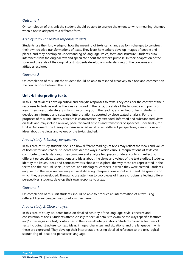On completion of this unit the student should be able to analyse the extent to which meaning changes when a text is adapted to a different form.

#### *Area of study 2: Creative responses to texts*

Students use their knowledge of how the meaning of texts can change as form changes to construct their own creative transformations of texts. They learn how writers develop images of people and places, and they develop an understanding of language, voice, form and structure. Students draw inferences from the original text and speculate about the writer's purpose. In their adaptation of the tone and the style of the original text, students develop an understanding of the concerns and attitudes explored.

#### *Outcome 2*

On completion of this unit the student should be able to respond creatively to a text and comment on the connections between the texts.

## **Unit 4: Interpreting texts**

In this unit students develop critical and analytic responses to texts. They consider the context of their responses to texts as well as the ideas explored in the texts, the style of the language and points of view. They investigate literary criticism informing both the reading and writing of texts. Students develop an informed and sustained interpretation supported by close textual analysis. For the purposes of this unit, literary criticism is characterised by extended, informed and substantiated views on texts and may include reviews, peer-reviewed articles and transcripts of speeches. Specifically, for Unit 4 Outcome 1, the literary criticism selected must reflect different perspectives, assumptions and ideas about the views and values of the text/s studied.

## *Area of study 1: Literary perspectives*

In this area of study students focus on how different readings of texts may reflect the views and values of both writer and reader. Students consider the ways in which various interpretations of texts can contribute to understanding. They compare and analyse two pieces of literary criticism reflecting different perspectives, assumptions and ideas about the views and values of the text studied. Students identify the issues, ideas and contexts writers choose to explore, the way these are represented in the text/s and the cultural, social, historical and ideological contexts in which they were created. Students enquire into the ways readers may arrive at differing interpretations about a text and the grounds on which they are developed. Through close attention to two pieces of literary criticism reflecting different perspectives, students develop their own response to a text.

#### *Outcome 1*

On completion of this unit students should be able to produce an interpretation of a text using different literary perspectives to inform their view.

## *Area of study 2: Close analysis*

In this area of study, students focus on detailed scrutiny of the language, style, concerns and construction of texts. Students attend closely to textual details to examine the ways specific features and/or passages in a text, contributes to their overall interpretations. Students consider features of texts including structure, context, ideas, images, characters and situations, and the language in which these are expressed. They develop their interpretations using detailed reference to the text, logical sequencing of ideas and persuasive language.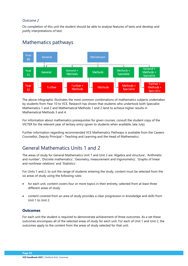On completion of this unit the student should be able to analyse features of texts and develop and justify interpretations of text.

# Mathematics pathways



The above infographic illustrates the most common combinations of mathematics subjects undertaken by students from Year 10 to VCE. Research has shown that students who undertook both Specialist Mathematics 1 and 2 and Mathematical Methods 1 and 2 tend to achieve higher results in Mathematical Methods 3 and 4.

For information about mathematics prerequisites for given courses, consult the student copy of the VICTER for the relevant year of tertiary entry (given to students when available, late July).

Further information regarding recommended VCE Mathematics Pathways is available from the Careers Counsellor, Deputy Principal – Teaching and Learning and the Head of Mathematics.

# General Mathematics Units 1 and 2

The areas of study for General Mathematics Unit 1 and Unit 2 are 'Algebra and structure', 'Arithmetic and number', 'Discrete mathematics', 'Geometry, measurement and trigonometry', 'Graphs of linear and nonlinear relations' and 'Statistics'.

For Units 1 and 2, to suit the range of students entering the study, content must be selected from the six areas of study using the following rules:

- for each unit, content covers four or more topics in their entirety, selected from at least three different areas of study
- content covered from an area of study provides a clear progression in knowledge and skills from Unit 1 to Unit 2.

## **Outcomes**

For each unit the student is required to demonstrate achievement of three outcomes. As a set these outcomes encompass all of the selected areas of study for each unit. For each of Unit 1 and Unit 2, the outcomes apply to the content from the areas of study selected for that unit.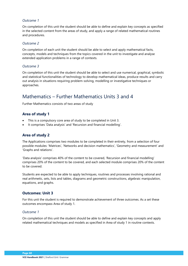On completion of this unit the student should be able to define and explain key concepts as specified in the selected content from the areas of study, and apply a range of related mathematical routines and procedures.

### *Outcome 2*

On completion of each unit the student should be able to select and apply mathematical facts, concepts, models and techniques from the topics covered in the unit to investigate and analyse extended application problems in a range of contexts.

### *Outcome 3*

On completion of this unit the student should be able to select and use numerical, graphical, symbolic and statistical functionalities of technology to develop mathematical ideas, produce results and carry out analysis in situations requiring problem-solving, modelling or investigative techniques or approaches.

# Mathematics – Further Mathematics Units 3 and 4

Further Mathematics consists of two areas of study

# **Area of study 1**

- This is a compulsory core area of study to be completed in Unit 3.
- It comprises 'Data analysis' and 'Recursion and financial modelling'.

# **Area of study 2**

The Applications comprises two modules to be completed in their entirety, from a selection of four possible modules: 'Matrices', 'Networks and decision mathematics', 'Geometry and measurement' and 'Graphs and relations'.

'Data analysis' comprises 40% of the content to be covered, 'Recursion and financial modelling' comprises 20% of the content to be covered, and each selected module comprises 20% of the content to be covered.

Students are expected to be able to apply techniques, routines and processes involving rational and real arithmetic, sets, lists and tables, diagrams and geometric constructions, algebraic manipulation, equations, and graphs.

## **Outcomes: Unit 3**

For this unit the student is required to demonstrate achievement of three outcomes. As a set these outcomes encompass Area of study 1.

#### *Outcome 1*

On completion of this unit the student should be able to define and explain key concepts and apply related mathematical techniques and models as specified in Area of study 1 in routine contexts.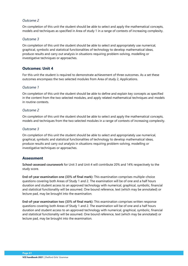On completion of this unit the student should be able to select and apply the mathematical concepts, models and techniques as specified in Area of study 1 in a range of contexts of increasing complexity.

#### *Outcome 3*

On completion of this unit the student should be able to select and appropriately use numerical, graphical, symbolic and statistical functionalities of technology to develop mathematical ideas, produce results and carry out analysis in situations requiring problem-solving, modelling or investigative techniques or approaches.

## **Outcomes: Unit 4**

For this unit the student is required to demonstrate achievement of three outcomes. As a set these outcomes encompass the two selected modules from Area of study 2, Applications.

### *Outcome 1*

On completion of this unit the student should be able to define and explain key concepts as specified in the content from the two selected modules, and apply related mathematical techniques and models in routine contexts.

### *Outcome 2*

On completion of this unit the student should be able to select and apply the mathematical concepts, models and techniques from the two selected modules in a range of contexts of increasing complexity.

#### *Outcome 3*

On completion of this unit the student should be able to select and appropriately use numerical, graphical, symbolic and statistical functionalities of technology to develop mathematical ideas, produce results and carry out analysis in situations requiring problem-solving, modelling or investigative techniques or approaches.

## **Assessment**

**School-assessed coursework** for Unit 3 and Unit 4 will contribute 20% and 14% respectively to the study score.

**End-of-year examination one (33% of final mark):** This examination comprises multiple-choice questions covering both Areas of Study 1 and 2. The examination will be of one and a half hours duration and student access to an approved technology with numerical, graphical, symbolic, financial and statistical functionality will be assumed. One bound reference, text (which may be annotated) or lecture pad, may be brought into the examination.

**End-of-year examination two (33% of final mark):** This examination comprises written response questions covering both Areas of Study 1 and 2. The examination will be of one and a half hours duration and student access to an approved technology with numerical, graphical, symbolic, financial and statistical functionality will be assumed. One bound reference, text (which may be annotated) or lecture pad, may be brought into the examination.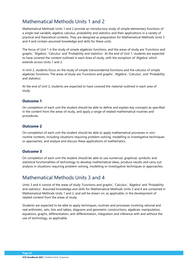# Mathematical Methods Units 1 and 2

Mathematical Methods Units 1 and 2 provide an introductory study of simple elementary functions of a single real variable, algebra, calculus, probability and statistics and their applications in a variety of practical and theoretical contexts. They are designed as preparation for Mathematical Methods Units 3 and 4 and contain assumed knowledge and skills for these units.

The focus of Unit 1 is the study of simple algebraic functions, and the areas of study are 'Functions and graphs', 'Algebra', 'Calculus' and 'Probability and statistics'. At the end of Unit 1, students are expected to have covered the content outlined in each Area of study, with the exception of 'Algebra' which extends across Units 1 and 2.

In Unit 2, students focus on the study of simple transcendental functions and the calculus of simple algebraic functions. The areas of study are 'Functions and graphs', 'Algebra', 'Calculus', and 'Probability and statistics'.

At the end of Unit 2, students are expected to have covered the material outlined in each area of study.

# **Outcome 1**

On completion of each unit the student should be able to define and explain key concepts as specified in the content from the areas of study, and apply a range of related mathematical routines and procedures.

## **Outcome 2**

On completion of each unit the student should be able to apply mathematical processes in nonroutine contexts, including situations requiring problem-solving, modelling or investigative techniques or approaches, and analyse and discuss these applications of mathematics.

## **Outcome 3**

On completion of each unit the student should be able to use numerical, graphical, symbolic and statistical functionalities of technology to develop mathematical ideas, produce results and carry out analysis in situations requiring problem-solving, modelling or investigative techniques or approaches.

# Mathematical Methods Units 3 and 4

Units 3 and 4 consist of the areas of study 'Functions and graphs', 'Calculus', 'Algebra' and 'Probability and statistics'. Assumed knowledge and skills for Mathematical Methods Units 3 and 4 are contained in Mathematical Methods Units 1 and 2, and will be drawn on, as applicable, in the development of related content from the areas of study.

Students are expected to be able to apply techniques, routines and processes involving rational and real arithmetic, sets, lists and tables, diagrams and geometric constructions, algebraic manipulation, equations, graphs, differentiation, anti-differentiation, integration and inference with and without the use of technology, as applicable.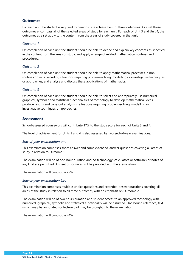For each unit the student is required to demonstrate achievement of three outcomes. As a set these outcomes encompass all of the selected areas of study for each unit. For each of Unit 3 and Unit 4, the outcomes as a set apply to the content from the areas of study covered in that unit.

#### *Outcome 1*

On completion of each unit the student should be able to define and explain key concepts as specified in the content from the areas of study, and apply a range of related mathematical routines and procedures.

### *Outcome 2*

On completion of each unit the student should be able to apply mathematical processes in nonroutine contexts, including situations requiring problem-solving, modelling or investigative techniques or approaches, and analyse and discuss these applications of mathematics.

## *Outcome 3*

On completion of each unit the student should be able to select and appropriately use numerical, graphical, symbolic and statistical functionalities of technology to develop mathematical ideas, produce results and carry out analysis in situations requiring problem-solving, modelling or investigative techniques or approaches.

# **Assessment**

School-assessed coursework will contribute 17% to the study score for each of Units 3 and 4.

The level of achievement for Units 3 and 4 is also assessed by two end-of-year examinations.

## *End-of-year examination one*

This examination comprises short-answer and some extended-answer questions covering all areas of study in relation to Outcome 1.

The examination will be of one-hour duration and no technology (calculators or software) or notes of any kind are permitted. A sheet of formulas will be provided with the examination.

The examination will contribute 22%.

#### *End-of-year examination two*

This examination comprises multiple-choice questions and extended-answer questions covering all areas of the study in relation to all three outcomes, with an emphasis on Outcome 2.

The examination will be of two hours duration and student access to an approved technology with numerical, graphical, symbolic and statistical functionality will be assumed. One bound reference, text (which may be annotated) or lecture pad, may be brought into the examination.

The examination will contribute 44%.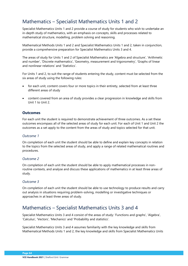# Mathematics – Specialist Mathematics Units 1 and 2

Specialist Mathematics Units 1 and 2 provide a course of study for students who wish to undertake an in-depth study of mathematics, with an emphasis on concepts, skills and processes related to mathematical structure, modelling, problem solving and reasoning.

Mathematical Methods Units 1 and 2 and Specialist Mathematics Units 1 and 2, taken in conjunction, provide a comprehensive preparation for Specialist Mathematics Units 3 and 4.

The areas of study for Units 1 and 2 of Specialist Mathematics are 'Algebra and structure', 'Arithmetic and number', 'Discrete mathematics', 'Geometry, measurement and trigonometry', 'Graphs of linear and nonlinear relations' and 'Statistics'.

For Units 1 and 2, to suit the range of students entering the study, content must be selected from the six areas of study using the following rules:

- for each unit, content covers four or more topics in their entirety, selected from at least three different areas of study
- content covered from an area of study provides a clear progression in knowledge and skills from Unit 1 to Unit 2.

# **Outcomes**

For each unit the student is required to demonstrate achievement of three outcomes. As a set these outcomes encompass all of the selected areas of study for each unit. For each of Unit 1 and Unit 2 the outcomes as a set apply to the content from the areas of study and topics selected for that unit.

## *Outcome 1*

On completion of each unit the student should be able to define and explain key concepts in relation to the topics from the selected areas of study, and apply a range of related mathematical routines and procedures.

## *Outcome 2*

On completion of each unit the student should be able to apply mathematical processes in nonroutine contexts, and analyse and discuss these applications of mathematics in at least three areas of study.

#### *Outcome 3*

On completion of each unit the student should be able to use technology to produce results and carry out analysis in situations requiring problem-solving, modelling or investigative techniques or approaches in at least three areas of study.

# Mathematics – Specialist Mathematics Units 3 and 4

Specialist Mathematics Units 3 and 4 consist of the areas of study: 'Functions and graphs', 'Algebra', 'Calculus', 'Vectors', 'Mechanics' and 'Probability and statistics'.

Specialist Mathematics Units 3 and 4 assumes familiarity with the key knowledge and skills from Mathematical Methods Units 1 and 2, the key knowledge and skills from Specialist Mathematics Units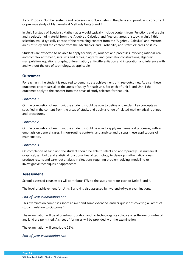1 and 2 topics 'Number systems and recursion' and 'Geometry in the plane and proof', and concurrent or previous study of Mathematical Methods Units 3 and 4.

In Unit 3 a study of Specialist Mathematics would typically include content from 'Functions and graphs' and a selection of material from the 'Algebra', 'Calculus' and 'Vectors' areas of study. In Unit 4 this selection would typically consist of the remaining content from the 'Algebra', 'Calculus', and 'Vectors' areas of study and the content from the 'Mechanics' and 'Probability and statistics' areas of study.

Students are expected to be able to apply techniques, routines and processes involving rational, real and complex arithmetic, sets, lists and tables, diagrams and geometric constructions, algebraic manipulation, equations, graphs, differentiation, anti-differentiation and integration and inference with and without the use of technology, as applicable.

# **Outcomes**

For each unit the student is required to demonstrate achievement of three outcomes. As a set these outcomes encompass all of the areas of study for each unit. For each of Unit 3 and Unit 4 the outcomes apply to the content from the areas of study selected for that unit.

### *Outcome 1*

On the completion of each unit the student should be able to define and explain key concepts as specified in the content from the areas of study, and apply a range of related mathematical routines and procedures.

### *Outcome 2*

On the completion of each unit the student should be able to apply mathematical processes, with an emphasis on general cases, in non-routine contexts, and analyse and discuss these applications of mathematics.

## *Outcome 3*

On completion of each unit the student should be able to select and appropriately use numerical, graphical, symbolic and statistical functionalities of technology to develop mathematical ideas, produce results and carry out analysis in situations requiring problem-solving, modelling or investigative techniques or approaches.

## **Assessment**

School-assessed coursework will contribute 17% to the study score for each of Units 3 and 4.

The level of achievement for Units 3 and 4 is also assessed by two end-of-year examinations.

## *End-of-year examination one*

This examination comprises short-answer and some extended-answer questions covering all areas of study in relation to Outcome 1.

The examination will be of one-hour duration and no technology (calculators or software) or notes of any kind are permitted. A sheet of formulas will be provided with the examination.

The examination will contribute 22%.

#### *End-of-year examination two*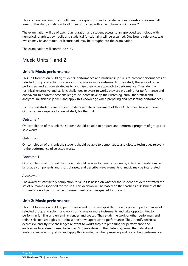This examination comprises multiple-choice questions and extended-answer questions covering all areas of the study in relation to all three outcomes, with an emphasis on Outcome 2.

The examination will be of two hours duration and student access to an approved technology with numerical, graphical, symbolic and statistical functionality will be assumed. One bound reference, text (which may be annotated) or lecture pad, may be brought into the examination.

The examination will contribute 44%.

# Music Units 1 and 2

# **Unit 1: Music performance**

This unit focuses on building students' performance and musicianship skills to present performances of selected group and solo music works using one or more instruments. They study the work of other performers and explore strategies to optimise their own approach to performance. They identify technical, expressive and stylistic challenges relevant to works they are preparing for performance and endeavour to address these challenges. Students develop their listening, aural, theoretical and analytical musicianship skills and apply this knowledge when preparing and presenting performances.

For this unit students are required to demonstrate achievement of three Outcomes. As a set these Outcomes encompass all areas of study for the Unit.

### *Outcome 1*

On completion of this unit the student should be able to prepare and perform a program of group and solo works.

#### *Outcome 2*

On completion of this unit the student should be able to demonstrate and discuss techniques relevant to the performance of selected works.

#### *Outcome 3*

On completion of this unit the student should be able to identify, re-create, extend and notate music language components and short phrases, and describe ways elements of music may be interpreted.

#### *Assessment*

The award of satisfactory completion for a unit is based on whether the student has demonstrated the set of outcomes specified for the unit. This decision will be based on the teacher's assessment of the student's overall performance on assessment tasks designated for the unit.

## **Unit 2: Music performance**

This unit focuses on building performance and musicianship skills. Students present performances of selected group and solo music works using one or more instruments and take opportunities to perform in familiar and unfamiliar venues and spaces. They study the work of other performers and refine selected strategies to optimise their own approach to performance. They identify technical, expressive and stylistic challenges relevant to works they are preparing for performance and endeavour to address these challenges. Students develop their listening, aural, theoretical and analytical musicianship skills and apply this knowledge when preparing and presenting performances.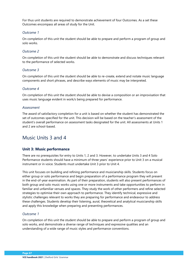For thus unit students are required to demonstrate achievement of four Outcomes. As a set these Outcomes encompass all areas of study for the Unit.

### *Outcome 1*

On completion of this unit the student should be able to prepare and perform a program of group and solo works.

### *Outcome 2*

On completion of this unit the student should be able to demonstrate and discuss techniques relevant to the performance of selected works.

### *Outcome 3*

On completion of this unit the student should be able to re-create, extend and notate music language components and short phrases, and describe ways elements of music may be interpreted.

#### *Outcome 4*

On completion of this unit the student should be able to devise a composition or an improvisation that uses music language evident in work/s being prepared for performance.

#### *Assessment*

The award of satisfactory completion for a unit is based on whether the student has demonstrated the set of outcomes specified for the unit. This decision will be based on the teacher's assessment of the student's overall performance on assessment tasks designated for the unit. All assessments at Units 1 and 2 are school-based.

# Music Units 3 and 4

## **Unit 3: Music performance**

There are no prerequisites for entry to Units 1, 2 and 3. However, to undertake Units 3 and 4 Solo Performance students should have a minimum of three years' experience prior to Unit 3 on a musical instrument or in voice. Students must undertake Unit 3 prior to Unit 4.

This unit focuses on building and refining performance and musicianship skills. Students focus on either group or solo performance and begin preparation of a performance program they will present in the end-of-year examination. As part of their preparation, students will also present performances of both group and solo music works using one or more instruments and take opportunities to perform in familiar and unfamiliar venues and spaces. They study the work of other performers and refine selected strategies to optimise their own approach to performance. They identify technical, expressive and stylistic challenges relevant to works they are preparing for performance and endeavour to address these challenges. Students develop their listening, aural, theoretical and analytical musicianship skills and apply this knowledge when preparing and presenting performances.

## *Outcome 1*

On completion of this unit the student should be able to prepare and perform a program of group and solo works, and demonstrate a diverse range of techniques and expressive qualities and an understanding of a wide range of music styles and performance conventions.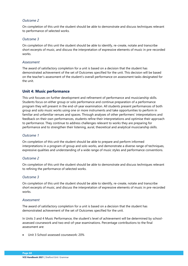On completion of this unit the student should be able to demonstrate and discuss techniques relevant to performance of selected works.

#### *Outcome 3*

On completion of this unit the student should be able to identify, re-create, notate and transcribe short excerpts of music, and discuss the interpretation of expressive elements of music in pre-recorded works.

#### *Assessment*

The award of satisfactory completion for a unit is based on a decision that the student has demonstrated achievement of the set of Outcomes specified for the unit. This decision will be based on the teacher's assessment of the student's overall performance on assessment tasks designated for the unit.

# **Unit 4: Music performance**

This unit focuses on further development and refinement of performance and musicianship skills. Students focus on either group or solo performance and continue preparation of a performance program they will present in the end-of-year examination. All students present performances of both group and solo music works using one or more instruments and take opportunities to perform in familiar and unfamiliar venues and spaces. Through analyses of other performers' interpretations and feedback on their own performances, students refine their interpretations and optimise their approach to performance. They continue to address challenges relevant to works they are preparing for performance and to strengthen their listening, aural, theoretical and analytical musicianship skills.

## *Outcome 1*

On completion of this unit the student should be able to prepare and perform informed interpretations in a program of group and solo works, and demonstrate a diverse range of techniques, expressive qualities and understanding of a wide range of music styles and performance conventions.

## *Outcome 2*

On completion of this unit the student should be able to demonstrate and discuss techniques relevant to refining the performance of selected works.

## *Outcome 3*

On completion of this unit the student should be able to identify, re-create, notate and transcribe short excerpts of music, and discuss the interpretation of expressive elements of music in pre-recorded works.

#### *Assessment*

The award of satisfactory completion for a unit is based on a decision that the student has demonstrated achievement of the set of Outcomes specified for the unit.

In Units 3 and 4 Music Performance, the student's level of achievement will be determined by schoolassessed coursework and two end-of-year examinations. Percentage contributions to the final assessment are:

• Unit 3 School-assessed coursework: 20%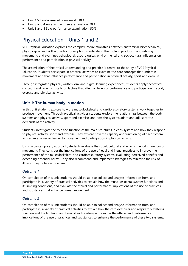- Unit 4 School-assessed coursework: 10%
- Unit 3 and 4 Aural and written examination: 20%
- Unit 3 and 4 Solo performance examination: 50%

# Physical Education – Units 1 and 2

VCE Physical Education explores the complex interrelationships between anatomical, biomechanical, physiological and skill acquisition principles to understand their role in producing and refining movement, and examines behavioural, psychological, environmental and sociocultural influences on performance and participation in physical activity.

The assimilation of theoretical understanding and practice is central to the study of VCE Physical Education. Students participate in practical activities to examine the core concepts that underpin movement and that influence performance and participation in physical activity, sport and exercise.

Through integrated physical, written, oral and digital learning experiences, students apply theoretical concepts and reflect critically on factors that affect all levels of performance and participation in sport, exercise and physical activity.

# **Unit 1: The human body in motion**

In this unit students explore how the musculoskeletal and cardiorespiratory systems work together to produce movement. Through practical activities students explore the relationships between the body systems and physical activity, sport and exercise, and how the systems adapt and adjust to the demands of the activity.

Students investigate the role and function of the main structures in each system and how they respond to physical activity, sport and exercise. They explore how the capacity and functioning of each system acts as an enabler or barrier to movement and participation in physical activity.

Using a contemporary approach, students evaluate the social, cultural and environmental influences on movement. They consider the implications of the use of legal and illegal practices to improve the performance of the musculoskeletal and cardiorespiratory systems, evaluating perceived benefits and describing potential harms. They also recommend and implement strategies to minimise the risk of illness or injury to each system.

#### *Outcome 1*

On completion of this unit students should be able to collect and analyse information from, and participate in, a variety of practical activities to explain how the musculoskeletal system functions and its limiting conditions, and evaluate the ethical and performance implications of the use of practices and substances that enhance human movement.

#### *Outcome 2*

On completion of this unit students should be able to collect and analyse information from, and participate in, a variety of practical activities to explain how the cardiovascular and respiratory systems function and the limiting conditions of each system, and discuss the ethical and performance implications of the use of practices and substances to enhance the performance of these two systems.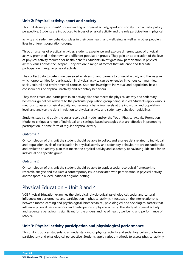# **Unit 2: Physical activity, sport and society**

This unit develops students' understanding of physical activity, sport and society from a participatory perspective. Students are introduced to types of physical activity and the role participation in physical

activity and sedentary behaviour plays in their own health and wellbeing as well as in other people's lives in different population groups.

Through a series of practical activities, students experience and explore different types of physical activity promoted in their own and different population groups. They gain an appreciation of the level of physical activity required for health benefits. Students investigate how participation in physical activity varies across the lifespan. They explore a range of factors that influence and facilitate participation in regular physical activity.

They collect data to determine perceived enablers of and barriers to physical activity and the ways in which opportunities for participation in physical activity can be extended in various communities, social, cultural and environmental contexts. Students investigate individual and population-based consequences of physical inactivity and sedentary behaviour.

They then create and participate in an activity plan that meets the physical activity and sedentary behaviour guidelines relevant to the particular population group being studied. Students apply various methods to assess physical activity and sedentary behaviour levels at the individual and population level, and analyse the data in relation to physical activity and sedentary behaviour guidelines.

Students study and apply the social-ecological model and/or the Youth Physical Activity Promotion Model to critique a range of individual-and settings-based strategies that are effective in promoting participation in some form of regular physical activity

#### *Outcome 1*

On completion of this unit the student should be able to collect and analyse data related to individual and population levels of participation in physical activity and sedentary behaviour to create, undertake and evaluate an activity plan that meets the physical activity and sedentary behaviour guidelines for an individual or a specific group.

#### *Outcome 2*

On completion of this unit the student should be able to apply a social-ecological framework to research, analyse and evaluate a contemporary issue associated with participation in physical activity and/or sport in a local, national or global setting.

# Physical Education – Unit 3 and 4

VCE Physical Education examines the biological, physiological, psychological, social and cultural influences on performance and participation in physical activity. It focuses on the interrelationship between motor learning and psychological, biomechanical, physiological and sociological factors that influence physical performances, and participation in physical activity. The study of physical activity and sedentary behaviour is significant for the understanding of health, wellbeing and performance of people.

# **Unit 3: Physical activity participation and physiological performance**

This unit introduces students to an understanding of physical activity and sedentary behaviour from a participatory and physiological perspective. Students apply various methods to assess physical activity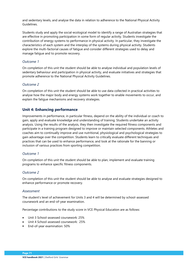and sedentary levels, and analyse the data in relation to adherence to the National Physical Activity Guidelines.

Students study and apply the social-ecological model to identify a range of Australian strategies that are effective in promoting participation in some form of regular activity. Students investigate the contribution of energy systems to performance in physical activity. In particular, they investigate the characteristics of each system and the interplay of the systems during physical activity. Students explore the multi-factorial causes of fatigue and consider different strategies used to delay and manage fatigue and to promote recovery.

# *Outcome 1*

On completion of this unit the student should be able to analyse individual and population levels of sedentary behaviour and participation in physical activity, and evaluate initiatives and strategies that promote adherence to the National Physical Activity Guidelines.

# *Outcome 2*

On completion of this unit the student should be able to use data collected in practical activities to analyse how the major body and energy systems work together to enable movements to occur, and explain the fatigue mechanisms and recovery strategies.

# **Unit 4: Enhancing performance**

Improvements in performance, in particular fitness, depend on the ability of the individual or coach to gain, apply and evaluate knowledge and understanding of training. Students undertake an activity analysis. Using the results of the analysis, they then investigate the required fitness components and participate in a training program designed to improve or maintain selected components. Athletes and coaches aim to continually improve and use nutritional, physiological and psychological strategies to gain advantage over the competition. Students learn to critically evaluate different techniques and practices that can be used to enhance performance, and look at the rationale for the banning or inclusion of various practices from sporting competition.

# *Outcome 1*

On completion of this unit the student should be able to plan, implement and evaluate training programs to enhance specific fitness components.

# *Outcome 2*

On completion of this unit the student should be able to analyse and evaluate strategies designed to enhance performance or promote recovery.

# *Assessment*

The student's level of achievement for Units 3 and 4 will be determined by school-assessed coursework and an end-of-year examination.

Percentage contributions to the study score in VCE Physical Education are as follows:

- Unit 3 School-assessed coursework: 25%
- Unit 4 School-assessed coursework: 25%
- End-of-year examination: 50%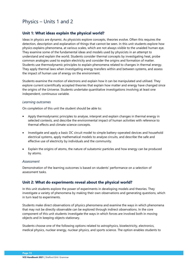# Physics – Units 1 and 2

# **Unit 1: What ideas explain the physical world?**

Ideas in physics are dynamic. As physicists explore concepts, theories evolve. Often this requires the detection, description and explanation of things that cannot be seen. In this unit students explore how physics explains phenomena, at various scales, which are not always visible to the unaided human eye. They examine some of the fundamental ideas and models used by physicists in an attempt to understand and explain the world. Students consider thermal concepts by investigating heat, probe common analogies used to explain electricity and consider the origins and formation of matter. Students use thermodynamic principles to explain phenomena related to changes in thermal energy. They apply thermal laws when investigating energy transfers within and between systems, and assess the impact of human use of energy on the environment.

Students examine the motion of electrons and explain how it can be manipulated and utilised. They explore current scientifically accepted theories that explain how matter and energy have changed since the origins of the Universe. Students undertake quantitative investigations involving at least one independent, continuous variable.

#### *Learning outcomes*

On completion of this unit the student should be able to:

- Apply thermodynamic principles to analyse, interpret and explain changes in thermal energy in selected contexts, and describe the environmental impact of human activities with reference to thermal effects and climate science concepts.
- Investigate and apply a basic DC circuit model to simple battery-operated devices and household electrical systems, apply mathematical models to analyse circuits, and describe the safe and effective use of electricity by individuals and the community.
- Explain the origins of atoms, the nature of subatomic particles and how energy can be produced by atoms.

#### *Assessment*

Demonstration of the learning outcomes is based on students' performance on a selection of assessment tasks.

# **Unit 2: What do experiments reveal about the physical world?**

In this unit students explore the power of experiments in developing models and theories. They investigate a variety of phenomena by making their own observations and generating questions, which in turn lead to experiments.

Students make direct observations of physics phenomena and examine the ways in which phenomena that may not be directly observable can be explored through indirect observations. In the core component of this unit students investigate the ways in which forces are involved both in moving objects and in keeping objects stationary.

Students choose one of the following options related to astrophysics, bioelectricity, electronics, medical physics, nuclear energy, nuclear physics, and sports science. The option enables students to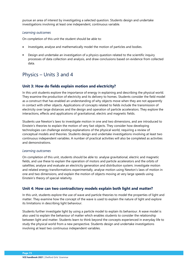pursue an area of interest by investigating a selected question. Students design and undertake investigations involving at least one independent, continuous variable.

#### *Learning outcomes*

On completion of this unit the student should be able to:

- Investigate, analyse and mathematically model the motion of particles and bodies.
- Design and undertake an investigation of a physics question related to the scientific inquiry processes of data collection and analysis, and draw conclusions based on evidence from collected data.

# Physics – Units 3 and 4

# **Unit 3: How do fields explain motion and electricity?**

In this unit students explore the importance of energy in explaining and describing the physical world. They examine the production of electricity and its delivery to homes. Students consider the field model as a construct that has enabled an understanding of why objects move when they are not apparently in contact with other objects. Applications of concepts related to fields include the transmission of electricity over large distances and the design and operation of particle accelerators. They explore the interactions, effects and applications of gravitational, electric and magnetic fields.

Students use Newton's laws to investigate motion in one and two dimensions, and are introduced to Einstein's theories to explain the motion of very fast objects. They consider how developing technologies can challenge existing explanations of the physical world, requiring a review of conceptual models and theories. Students design and undertake investigations involving at least two continuous independent variables. A number of practical activities will also be completed as activities and demonstrations.

#### *Learning outcomes*

On completion of this unit, students should be able to: analyse gravitational, electric and magnetic fields, and use these to explain the operation of motors and particle accelerators and the orbits of satellites; analyse and evaluate an electricity generation and distribution system; investigate motion and related energy transformations experimentally, analyse motion using Newton's laws of motion in one and two dimensions, and explain the motion of objects moving at very large speeds using Einstein's theory of special relativity.

# **Unit 4: How can two contradictory models explain both light and matter?**

In this unit, students explore the use of wave and particle theories to model the properties of light and matter. They examine how the concept of the wave is used to explain the nature of light and explore its limitations in describing light behaviour.

Students further investigate light by using a particle model to explain its behaviour. A wave model is also used to explain the behaviour of matter which enables students to consider the relationship between light and matter. Students learn to think beyond the concepts experienced in everyday life to study the physical world from a new perspective. Students design and undertake investigations involving at least two continuous independent variables.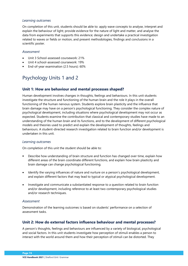### *Learning outcomes*

On completion of this unit, students should be able to: apply wave concepts to analyse, interpret and explain the behaviour of light; provide evidence for the nature of light and matter, and analyse the data from experiments that supports this evidence; design and undertake a practical investigation related to waves or fields or motion, and present methodologies, findings and conclusions in a scientific poster.

#### *Assessment*

- Unit 3 School-assessed coursework: 21%
- Unit 4 school-assessed coursework: 19%
- End-of-year examination (2.5 hours): 60%

# Psychology Units 1 and 2

# **Unit 1: How are behaviour and mental processes shaped?**

Human development involves changes in thoughts, feelings and behaviours. In this unit students investigate the structure and functioning of the human brain and the role it plays in the overall functioning of the human nervous system. Students explore brain plasticity and the influence that brain damage may have on a person's psychological functioning. They consider the complex nature of psychological development, including situations where psychological development may not occur as expected. Students examine the contribution that classical and contemporary studies have made to an understanding of the human brain and its functions, and to the development of different psychological models and theories used to predict and explain the development of thoughts, feelings and behaviours. A student-directed research investigation related to brain function and/or development is undertaken in this unit.

#### *Learning outcomes*

On completion of this unit the student should be able to:

- Describe how understanding of brain structure and function has changed over time, explain how different areas of the brain coordinate different functions, and explain how brain plasticity and brain damage can change psychological functioning.
- Identify the varying influences of nature and nurture on a person's psychological development, and explain different factors that may lead to typical or atypical psychological development.
- Investigate and communicate a substantiated response to a question related to brain function and/or development, including reference to at least two contemporary psychological studies and/or research techniques.

# *Assessment*

Demonstration of the learning outcomes is based on students' performance on a selection of assessment tasks.

# **Unit 2: How do external factors influence behaviour and mental processes?**

A person's thoughts, feelings and behaviours are influenced by a variety of biological, psychological and social factors. In this unit students investigate how perception of stimuli enables a person to interact with the world around them and how their perception of stimuli can be distorted. They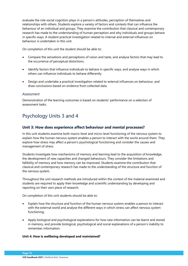evaluate the role social cognition plays in a person's attitudes, perception of themselves and relationships with others. Students explore a variety of factors and contexts that can influence the behaviour of an individual and groups. They examine the contribution that classical and contemporary research has made to the understanding of human perception and why individuals and groups behave in specific ways. A student practical investigation related to internal and external influences on behaviour is undertaken in this unit.

On completion of this unit the student should be able to:

- Compare the sensations and perceptions of vision and taste, and analyse factors that may lead to the occurrence of perceptual distortions.
- Identify factors that influence individuals to behave in specific ways, and analyse ways in which others can influence individuals to behave differently.
- Design and undertake a practical investigation related to external influences on behaviour, and draw conclusions based on evidence from collected data.

#### *Assessment*

Demonstration of the learning outcomes is based on students' performance on a selection of assessment tasks.

# Psychology Units 3 and 4

# **Unit 3: How does experience affect behaviour and mental processes?**

In this unit students examine both macro-level and micro-level functioning of the nervous system to explain how the human nervous system enables a person to interact with the world around them. They explore how stress may affect a person's psychological functioning and consider the causes and management of stress.

Students investigate how mechanisms of memory and learning lead to the acquisition of knowledge, the development of new capacities and changed behaviours. They consider the limitations and fallibility of memory and how memory can be improved. Students examine the contribution that classical and contemporary research has made to the understanding of the structure and function of the nervous system.

Throughout the unit research methods are introduced within the context of the material examined and students are required to apply their knowledge and scientific understanding by developing and reporting on their own piece of research.

On completion of this unit students should be able to:

- Explain how the structure and function of the human nervous system enables a person to interact with the external world and analyse the different ways in which stress can affect nervous system functioning.
- Apply biological and psychological explanations for how new information can be learnt and stored in memory, and provide biological, psychological and social explanations of a person's inability to remember information.

#### **Unit 4: How is wellbeing developed and maintained?**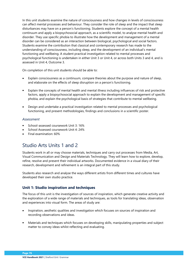In this unit students examine the nature of consciousness and how changes in levels of consciousness can affect mental processes and behaviour. They consider the role of sleep and the impact that sleep disturbances may have on a person's functioning. Students explore the concept of a mental health continuum and apply a biopsychosocial approach, as a scientific model, to analyse mental health and disorder. They use specific phobia to illustrate how the development and management of a mental disorder can be considered as an interaction between biological, psychological and social factors. Students examine the contribution that classical and contemporary research has made to the understanding of consciousness, including sleep, and the development of an individual's mental functioning and wellbeing. A student practical investigation related to mental processes and psychological functioning is undertaken in either Unit 3 or Unit 4, or across both Units 3 and 4, and is assessed in Unit 4, Outcome 3.

On completion of this unit students should be able to:

- Explain consciousness as a continuum, compare theories about the purpose and nature of sleep, and elaborate on the effects of sleep disruption on a person's functioning.
- Explain the concepts of mental health and mental illness including influences of risk and protective factors, apply a biopsychosocial approach to explain the development and management of specific phobia, and explain the psychological basis of strategies that contribute to mental wellbeing.
- Design and undertake a practical investigation related to mental processes and psychological functioning, and present methodologies, findings and conclusions in a scientific poster.

# *Assessment*

- School-assessed coursework Unit 3: 16%
- School Assessed coursework Unit 4: 24%
- Final examination: 60%

# Studio Arts Units 1 and 2

Students work in all or may choose materials, techniques and carry out processes from Media, Art, Visual Communication and Design and Materials Technology. They will learn how to explore, develop, refine, resolve and present their individual artworks. Documented evidence in a visual diary of their research, development and refinement is an integral part of this study.

Students also research and analyse the ways different artists from different times and cultures have developed their own studio practice.

# **Unit 1: Studio inspiration and techniques**

The focus of this unit is the investigation of sources of inspiration, which generate creative activity and the exploration of a wide range of materials and techniques, as tools for translating ideas, observation and experiences into visual form. The areas of study are:

- Inspiration, aesthetic qualities and investigation which focuses on sources of inspiration and recording observations and ideas.
- Materials and techniques which focuses on developing skills, manipulating properties and subject matter to convey ideas whilst reflecting and evaluating.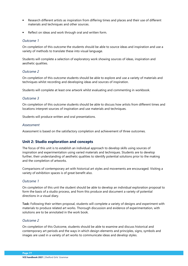- Research different artists as inspiration from differing times and places and their use of different materials and techniques and other sources.
- Reflect on ideas and work through oral and written form.

### *Outcome 1*

On completion of this outcome the students should be able to source ideas and inspiration and use a variety of methods to translate these into visual language.

Students will complete a selection of exploratory work showing sources of ideas, inspiration and aesthetic qualities.

### *Outcome 2*

On completion of this outcome students should be able to explore and use a variety of materials and techniques whilst recording and developing ideas and sources of inspiration.

Students will complete at least one artwork whilst evaluating and commenting in workbook.

### *Outcome 3*

On completion of this outcome students should be able to discuss how artists from different times and locations interpret sources of inspiration and use materials and techniques.

Students will produce written and oral presentations.

#### *Assessment*

Assessment is based on the satisfactory completion and achievement of three outcomes.

# **Unit 2: Studio exploration and concepts**

The focus of this unit is to establish an individual approach to develop skills using sources of inspiration and experimentation using varied materials and techniques. Students are to develop further, their understanding of aesthetic qualities to identify potential solutions prior to the making and the completion of artworks.

Comparisons of contemporary art with historical art styles and movements are encouraged. Visiting a variety of exhibition spaces is of great benefit also.

#### *Outcome 1*

On completion of this unit the student should be able to develop an individual exploration proposal to form the basis of a studio process, and from this produce and document a variety of potential directions in a visual diary.

**Task:** Following their written proposal, students will complete a variety of designs and experiment with materials to produce related art works. Thorough discussion and evidence of experimentation, with solutions are to be annotated in the work book.

#### *Outcome 2*

On completion of this Outcome, students should be able to examine and discuss historical and contemporary art periods and the ways in which design elements and principles, signs, symbols and images are used in a variety of art works to communicate ideas and develop styles.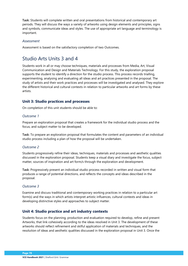**Task:** Students will complete written and oral presentations from historical and contemporary art periods. They will discuss the ways a variety of artworks using design elements and principles, signs and symbols, communicate ideas and styles. The use of appropriate art language and terminology is important.

### *Assessment*

Assessment is based on the satisfactory completion of two Outcomes.

# Studio Arts Units 3 and 4

Students work in all or may choose techniques, materials and processes from Media, Art, Visual Communication and Design and Materials Technology. For this study, the exploration proposal supports the student to identify a direction for the studio process. This process records trialling, experimenting, analysing and evaluating all ideas and art practices presented in the proposal. The study of artists and their work practices and processes will be investigated and analysed. They explore the different historical and cultural contexts in relation to particular artworks and art forms by these artists.

# **Unit 3: Studio practices and processes**

On completion of this unit students should be able to:

### *Outcome 1*

Prepare an exploration proposal that creates a framework for the individual studio process and the focus, and subject matter to be developed.

**Task:** To prepare an exploration proposal that formulates the content and parameters of an individual studio process including a plan of how the proposal will be undertaken.

# *Outcome 2*

Students progressively refine their ideas, techniques, materials and processes and aesthetic qualities discussed in the exploration proposal. Students keep a visual diary and investigate the focus, subject matter, sources of inspiration and art form/s through the exploration and development.

**Task:** Progressively present an individual studio process recorded in written and visual form that produces a range of potential directions, and reflects the concepts and ideas described in the proposal.

# *Outcome 3*

Examine and discuss traditional and contemporary working practices in relation to a particular art form(s) and the ways in which artists interpret artistic influences, cultural contexts and ideas in developing distinctive styles and approaches to subject matter.

# **Unit 4: Studio practice and art industry contexts**

Students focus on the planning, production and evaluation required to develop, refine and present Artworks, that link cohesively according to the ideas resolved in Unit 3. The development of these artworks should reflect refinement and skilful application of materials and techniques, and the resolution of ideas and aesthetic qualities discussed in the exploration proposal in Unit 3. Once the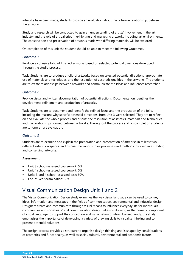artworks have been made, students provide an evaluation about the cohesive relationship, between the artworks.

Study and research will be conducted to gain an understanding of artists' involvement in the art industry and the role of art galleries in exhibiting and marketing artworks including art environments. The conservation and preservation of artworks made with differing materials, will be explored.

On completion of this unit the student should be able to meet the following Outcomes.

# *Outcome 1*

Produce a cohesive folio of finished artworks based on selected potential directions developed through the studio process.

**Task:** Students are to produce a folio of artworks based on selected potential directions, appropriate use of materials and techniques, and the resolution of aesthetic qualities in the artworks. The students are to create relationships between artworks and communicate the ideas and influences researched.

# *Outcome 2*

Provide visual and written documentation of potential directions. Documentation identifies the development, refinement and production of artworks.

**Task:** Students are to document and identify the refined focus and the production of the folio, including the reasons why specific potential directions, from Unit 3 were selected. They are to reflect on and evaluate the whole process and discuss the resolution of aesthetics, materials and techniques and the relationships formed between artworks. Throughout the process and on completion students are to form an art evaluation.

# *Outcome 3*

Students are to examine and explain the preparation and presentation of artworks in at least two different exhibition spaces, and discuss the various roles processes and methods involved in exhibiting and conserving artworks.

#### **Assessment**

- Unit 3 school-assessed coursework: 5%
- Unit 4 school-assessed coursework: 5%
- Units 3 and 4 school-assessed task: 60%
- End-of-year examination: 30%

# Visual Communication Design Unit 1 and 2

The Visual Communication Design study examines the way visual language can be used to convey ideas, information and messages in the fields of communication, environmental and industrial design. Designers create and communicate through visual means to influence everyday life for individuals, communities and societies. Visual communication design relies on drawing as the primary component of visual language to support the conception and visualisation of ideas. Consequently, the study emphasises the importance of developing a variety of drawing skills to visualise thinking and to present potential solutions.

The design process provides a structure to organise design thinking and is shaped by considerations of aesthetics and functionality, as well as social, cultural, environmental and economic factors.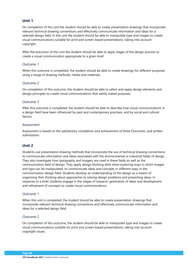# **Unit 1**

On completion of this unit the student should be able to create presentation drawings that incorporate relevant technical drawing conventions and effectively communicate information and ideas for a selected design field. In this unit the student should be able to manipulate type and images to create visual communications suitable for print and screen-based presentations, taking into account copyright.

After the execution of this unit the student should be able to apply stages of the design process to create a visual communication appropriate to a given brief.

# *Outcome 1*

When this outcome is completed, the student should be able to create drawings for different purposes using a range of drawing methods, media and materials.

# *Outcome 2*

On completion of this outcome, the student should be able to select and apply design elements and design principles to create visual communications that satisfy stated purposes.

# *Outcome 3*

After this outcome is completed, the student should be able to describe how visual communications in a design field have been influenced by past and contemporary practises, and by social and cultural factors.

### *Assessment*

Assessment is based on the satisfactory completion and achievement of three Outcomes, and written submissions

# **Unit 2**

Students use presentation drawing methods that incorporate the use of technical drawing conventions to communicate information and ideas associated with the environmental or industrial fields of design. They also investigate how typography and imagery are used in these fields as well as the communication field of design. They apply design thinking skills when exploring ways in which images and type can be manipulated, to communicate ideas and concepts in different ways in the communication design field. Students develop an understanding of the design as a means of organising their thinking about approaches to solving design problems and presenting ideas. In response to a brief, students engage in the stages of research, generation of ideas and development and refinement of concepts to create visual communications.

# *Outcome 1*

When this unit is completed, the student should be able to create presentation drawings that incorporate relevant technical drawing conventions and effectively communicate information and ideas for a selected design field.

# *Outcome 2*

On completion of this outcome, the student should be able to manipulate type and images to create visual communications suitable for print and screen-based presentations, taking into account copyright issues.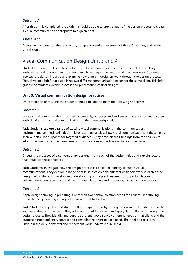# *Outcome 3*

After this unit is completed, the student should be able to apply stages of the design process to create a visual communication appropriate to a given brief.

#### *Assessment*

Assessment is based on the satisfactory completion and achievement of three Outcomes, and written submissions.

# Visual Communication Design Unit 3 and 4

Students explore the design fields of industrial, communication and environmental design. They analyse the work of designers from each field to underpin the creation of their own work. Students also explore design industry and examine how different designers work through the design process. They develop a brief that establishes two different communication needs for the same client. This brief guides the students' design process and presentation of final designs.

# **Unit 3: Visual communication design practices**

On completion of this unit the students should be able to meet the following Outcomes.

### *Outcome 1*

Create visual communications for specific contexts, purposes and audiences that are informed by their analysis of existing visual communications in the three design fields.

**Task:** Students explore a range of existing visual communications in the communication, environmental and industrial design fields. Students analyse how visual communications in these fields achieve particular purposes for targeted audiences. They draw on their findings from the analysis to inform the creation of their own visual communications and articulate these connections.

# *Outcome 2*

Discuss the practices of a contemporary designer from each of the design fields and explain factors that influence these practices.

**Task:** Students investigate how the design process is applied in industry to create visual communications. They explore a range of case studies on how different designers work in each of the design fields. Students develop an understanding of the practices used to support collaboration between designers, specialists and clients when designing and producing visual communications.

# *Outcome 3*

Apply design thinking in preparing a brief with two communication needs for a client, undertaking research and generating a range of ideas relevant to the brief.

**Task:** Students begin the first stages of the design process by writing their own brief, finding research and generating a range ideas. They establish a brief for a client and apply design thinking through the design process. They identify and describe a client, two distinctly different needs of that client, and the purpose, target audience, context and constraints relevant to each need. The brief and research underpin the developmental and refinement work undertaken in Unit 4.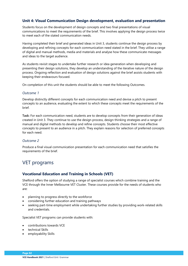# **Unit 4: Visual Communication Design development, evaluation and presentation**

Students focus on the development of design concepts and two final presentations of visual communications to meet the requirements of the brief. This involves applying the design process twice to meet each of the stated communication needs.

Having completed their brief and generated ideas in Unit 3, students continue the design process by developing and refining concepts for each communication need stated in the brief. They utilise a range of digital and manual methods, media and materials and analyse how these communicate messages and ideas to the target audience.

As students revisit stages to undertake further research or idea generation when developing and presenting their design solutions, they develop an understanding of the iterative nature of the design process. Ongoing reflection and evaluation of design solutions against the brief assists students with keeping their endeavours focused.

On completion of this unit the students should be able to meet the following Outcomes.

#### *Outcome 1*

Develop distinctly different concepts for each communication need and devise a pitch to present concepts to an audience, evaluating the extent to which these concepts meet the requirements of the brief.

**Task:** For each communication need, students are to develop concepts from their generation of ideas created in Unit 3. They continue to use the design process, design thinking strategies and a range of manual and digital methods to develop and refine concepts. Students choose their most effective concepts to present to an audience in a pitch. They explain reasons for selection of preferred concepts for each need.

# *Outcome 2*

Produce a final visual communication presentation for each communication need that satisfies the requirements of the brief.

# VET programs

# **Vocational Education and Training in Schools (VET)**

Shelford offers the option of studying a range of specialist courses which combine training and the VCE through the Inner Melbourne VET Cluster. These courses provide for the needs of students who are:

- planning to progress directly to the workforce
- considering further education and training pathways
- seeking part-time employment while undertaking further studies by providing work-related skills and credentials.

Specialist VET programs can provide students with:

- contributions towards VCE
- technical Skills
- employability Skills